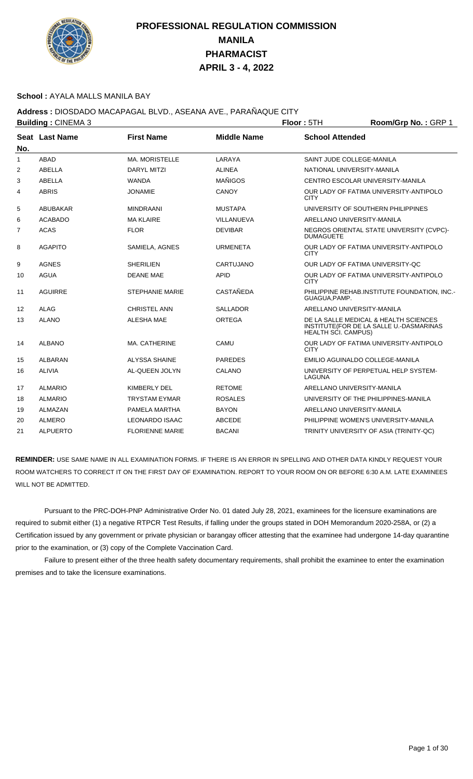

#### **School :** AYALA MALLS MANILA BAY

## **Address :** DIOSDADO MACAPAGAL BLVD., ASEANA AVE., PARAÑAQUE CITY

| <b>Building: CINEMA 3</b> |                        |                    |                                    | Room/Grp No.: GRP 1                                                              |
|---------------------------|------------------------|--------------------|------------------------------------|----------------------------------------------------------------------------------|
| Seat Last Name            | <b>First Name</b>      | <b>Middle Name</b> | <b>School Attended</b>             |                                                                                  |
| <b>ABAD</b>               | <b>MA. MORISTELLE</b>  | LARAYA             | SAINT JUDE COLLEGE-MANILA          |                                                                                  |
| ABELLA                    | <b>DARYL MITZI</b>     | <b>ALINEA</b>      | NATIONAL UNIVERSITY-MANILA         |                                                                                  |
| <b>ABELLA</b>             | <b>WANDA</b>           | <b>MAÑIGOS</b>     | CENTRO ESCOLAR UNIVERSITY-MANILA   |                                                                                  |
| <b>ABRIS</b>              | JONAMIE                | <b>CANOY</b>       | <b>CITY</b>                        | OUR LADY OF FATIMA UNIVERSITY-ANTIPOLO                                           |
| ABUBAKAR                  | <b>MINDRAANI</b>       | <b>MUSTAPA</b>     | UNIVERSITY OF SOUTHERN PHILIPPINES |                                                                                  |
| <b>ACABADO</b>            | <b>MA KLAIRE</b>       | VILLANUEVA         | ARELLANO UNIVERSITY-MANILA         |                                                                                  |
| <b>ACAS</b>               | <b>FLOR</b>            | <b>DEVIBAR</b>     | <b>DUMAGUETE</b>                   | NEGROS ORIENTAL STATE UNIVERSITY (CVPC)-                                         |
| <b>AGAPITO</b>            | SAMIELA, AGNES         | <b>URMENETA</b>    | <b>CITY</b>                        | OUR LADY OF FATIMA UNIVERSITY-ANTIPOLO                                           |
| <b>AGNES</b>              | <b>SHERILIEN</b>       | CARTUJANO          | OUR LADY OF FATIMA UNIVERSITY-QC   |                                                                                  |
| <b>AGUA</b>               | <b>DEANE MAE</b>       | <b>APID</b>        | <b>CITY</b>                        | OUR LADY OF FATIMA UNIVERSITY-ANTIPOLO                                           |
| <b>AGUIRRE</b>            | <b>STEPHANIE MARIE</b> | CASTAÑEDA          | GUAGUA, PAMP.                      | PHILIPPINE REHAB.INSTITUTE FOUNDATION, INC.-                                     |
| <b>ALAG</b>               | <b>CHRISTEL ANN</b>    | SALLADOR           | ARELLANO UNIVERSITY-MANILA         |                                                                                  |
| <b>ALANO</b>              | ALESHA MAE             | <b>ORTEGA</b>      | <b>HEALTH SCI. CAMPUS)</b>         | DE LA SALLE MEDICAL & HEALTH SCIENCES<br>INSTITUTE(FOR DE LA SALLE U.-DASMARINAS |
| <b>ALBANO</b>             | MA. CATHERINE          | CAMU               | <b>CITY</b>                        | OUR LADY OF FATIMA UNIVERSITY-ANTIPOLO                                           |
| <b>ALBARAN</b>            | <b>ALYSSA SHAINE</b>   | <b>PAREDES</b>     | EMILIO AGUINALDO COLLEGE-MANILA    |                                                                                  |
| <b>ALIVIA</b>             | AL-QUEEN JOLYN         | CALANO             | <b>LAGUNA</b>                      | UNIVERSITY OF PERPETUAL HELP SYSTEM-                                             |
| <b>ALMARIO</b>            | KIMBERLY DEL           | <b>RETOME</b>      | ARELLANO UNIVERSITY-MANILA         |                                                                                  |
| <b>ALMARIO</b>            | <b>TRYSTAM EYMAR</b>   | <b>ROSALES</b>     |                                    | UNIVERSITY OF THE PHILIPPINES-MANILA                                             |
| ALMAZAN                   | PAMELA MARTHA          | <b>BAYON</b>       | ARELLANO UNIVERSITY-MANILA         |                                                                                  |
| <b>ALMERO</b>             | <b>LEONARDO ISAAC</b>  | <b>ABCEDE</b>      |                                    | PHILIPPINE WOMEN'S UNIVERSITY-MANILA                                             |
| <b>ALPUERTO</b>           | <b>FLORIENNE MARIE</b> | <b>BACANI</b>      |                                    | TRINITY UNIVERSITY OF ASIA (TRINITY-QC)                                          |
|                           |                        |                    |                                    | Floor: 5TH                                                                       |

**REMINDER:** USE SAME NAME IN ALL EXAMINATION FORMS. IF THERE IS AN ERROR IN SPELLING AND OTHER DATA KINDLY REQUEST YOUR ROOM WATCHERS TO CORRECT IT ON THE FIRST DAY OF EXAMINATION. REPORT TO YOUR ROOM ON OR BEFORE 6:30 A.M. LATE EXAMINEES WILL NOT BE ADMITTED.

 Pursuant to the PRC-DOH-PNP Administrative Order No. 01 dated July 28, 2021, examinees for the licensure examinations are required to submit either (1) a negative RTPCR Test Results, if falling under the groups stated in DOH Memorandum 2020-258A, or (2) a Certification issued by any government or private physician or barangay officer attesting that the examinee had undergone 14-day quarantine prior to the examination, or (3) copy of the Complete Vaccination Card.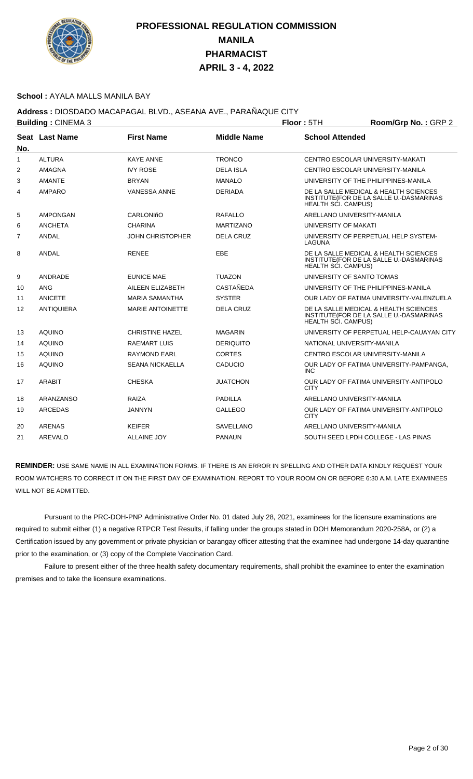

### **School :** AYALA MALLS MANILA BAY

## **Address :** DIOSDADO MACAPAGAL BLVD., ASEANA AVE., PARAÑAQUE CITY

| <b>Building: CINEMA 3</b> |                   |                         |                    | Floor: 5TH                 | Room/Grp No.: GRP 2                                                              |
|---------------------------|-------------------|-------------------------|--------------------|----------------------------|----------------------------------------------------------------------------------|
|                           | Seat Last Name    | <b>First Name</b>       | <b>Middle Name</b> | <b>School Attended</b>     |                                                                                  |
| No.                       |                   |                         |                    |                            |                                                                                  |
| $\mathbf{1}$              | <b>ALTURA</b>     | <b>KAYE ANNE</b>        | <b>TRONCO</b>      |                            | CENTRO ESCOLAR UNIVERSITY-MAKATI                                                 |
| 2                         | AMAGNA            | <b>IVY ROSE</b>         | <b>DELA ISLA</b>   |                            | CENTRO ESCOLAR UNIVERSITY-MANILA                                                 |
| 3                         | <b>AMANTE</b>     | <b>BRYAN</b>            | <b>MANALO</b>      |                            | UNIVERSITY OF THE PHILIPPINES-MANILA                                             |
| 4                         | <b>AMPARO</b>     | <b>VANESSA ANNE</b>     | <b>DERIADA</b>     | <b>HEALTH SCI. CAMPUS)</b> | DE LA SALLE MEDICAL & HEALTH SCIENCES<br>INSTITUTE(FOR DE LA SALLE U.-DASMARINAS |
| 5                         | AMPONGAN          | CARLONIñO               | RAFALLO            | ARELLANO UNIVERSITY-MANILA |                                                                                  |
| 6                         | <b>ANCHETA</b>    | <b>CHARINA</b>          | <b>MARTIZANO</b>   | UNIVERSITY OF MAKATI       |                                                                                  |
| 7                         | <b>ANDAL</b>      | <b>JOHN CHRISTOPHER</b> | <b>DELA CRUZ</b>   | LAGUNA                     | UNIVERSITY OF PERPETUAL HELP SYSTEM-                                             |
| 8                         | <b>ANDAL</b>      | <b>RENEE</b>            | EBE                | HEALTH SCI. CAMPUS)        | DE LA SALLE MEDICAL & HEALTH SCIENCES<br>INSTITUTE(FOR DE LA SALLE U.-DASMARINAS |
| 9                         | ANDRADE           | <b>EUNICE MAE</b>       | <b>TUAZON</b>      | UNIVERSITY OF SANTO TOMAS  |                                                                                  |
| 10                        | ANG               | AILEEN ELIZABETH        | <b>CASTAÑEDA</b>   |                            | UNIVERSITY OF THE PHILIPPINES-MANILA                                             |
| 11                        | <b>ANICETE</b>    | <b>MARIA SAMANTHA</b>   | <b>SYSTER</b>      |                            | OUR LADY OF FATIMA UNIVERSITY-VALENZUELA                                         |
| 12                        | <b>ANTIQUIERA</b> | <b>MARIE ANTOINETTE</b> | <b>DELA CRUZ</b>   | <b>HEALTH SCI. CAMPUS)</b> | DE LA SALLE MEDICAL & HEALTH SCIENCES<br>INSTITUTE(FOR DE LA SALLE U.-DASMARINAS |
| 13                        | <b>AQUINO</b>     | <b>CHRISTINE HAZEL</b>  | <b>MAGARIN</b>     |                            | UNIVERSITY OF PERPETUAL HELP-CAUAYAN CITY                                        |
| 14                        | <b>AQUINO</b>     | <b>RAEMART LUIS</b>     | <b>DERIQUITO</b>   | NATIONAL UNIVERSITY-MANILA |                                                                                  |
| 15                        | <b>AQUINO</b>     | <b>RAYMOND EARL</b>     | <b>CORTES</b>      |                            | CENTRO ESCOLAR UNIVERSITY-MANILA                                                 |
| 16                        | <b>AQUINO</b>     | <b>SEANA NICKAELLA</b>  | CADUCIO            | <b>INC</b>                 | OUR LADY OF FATIMA UNIVERSITY-PAMPANGA,                                          |
| 17                        | <b>ARABIT</b>     | <b>CHESKA</b>           | <b>JUATCHON</b>    | <b>CITY</b>                | OUR LADY OF FATIMA UNIVERSITY-ANTIPOLO                                           |
| 18                        | ARANZANSO         | RAIZA                   | <b>PADILLA</b>     | ARELLANO UNIVERSITY-MANILA |                                                                                  |
| 19                        | <b>ARCEDAS</b>    | <b>JANNYN</b>           | <b>GALLEGO</b>     | <b>CITY</b>                | OUR LADY OF FATIMA UNIVERSITY-ANTIPOLO                                           |
| 20                        | <b>ARENAS</b>     | <b>KEIFER</b>           | SAVELLANO          | ARELLANO UNIVERSITY-MANILA |                                                                                  |
| 21                        | AREVALO           | <b>ALLAINE JOY</b>      | <b>PANAUN</b>      |                            | SOUTH SEED LPDH COLLEGE - LAS PINAS                                              |

**REMINDER:** USE SAME NAME IN ALL EXAMINATION FORMS. IF THERE IS AN ERROR IN SPELLING AND OTHER DATA KINDLY REQUEST YOUR ROOM WATCHERS TO CORRECT IT ON THE FIRST DAY OF EXAMINATION. REPORT TO YOUR ROOM ON OR BEFORE 6:30 A.M. LATE EXAMINEES WILL NOT BE ADMITTED.

 Pursuant to the PRC-DOH-PNP Administrative Order No. 01 dated July 28, 2021, examinees for the licensure examinations are required to submit either (1) a negative RTPCR Test Results, if falling under the groups stated in DOH Memorandum 2020-258A, or (2) a Certification issued by any government or private physician or barangay officer attesting that the examinee had undergone 14-day quarantine prior to the examination, or (3) copy of the Complete Vaccination Card.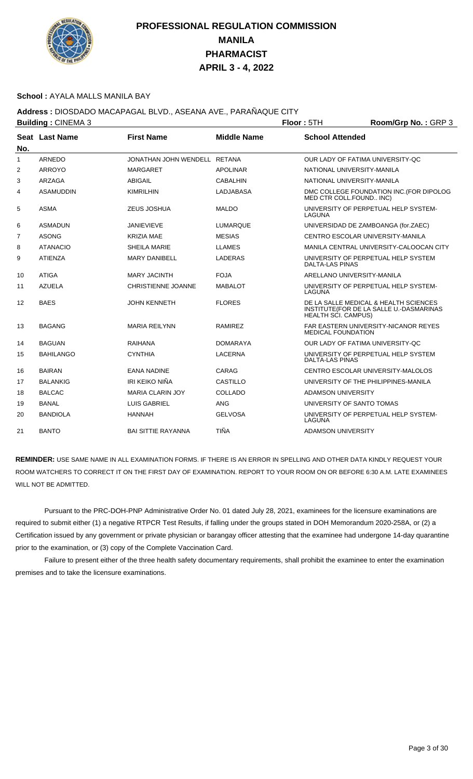

### **School :** AYALA MALLS MANILA BAY

## **Address :** DIOSDADO MACAPAGAL BLVD., ASEANA AVE., PARAÑAQUE CITY

| <b>Building: CINEMA 3</b> |                           |                    | Floor: 5TH                       | Room/Grp No.: GRP 3                                                              |
|---------------------------|---------------------------|--------------------|----------------------------------|----------------------------------------------------------------------------------|
| Seat Last Name            | <b>First Name</b>         | <b>Middle Name</b> | <b>School Attended</b>           |                                                                                  |
| ARNEDO                    |                           |                    | OUR LADY OF FATIMA UNIVERSITY-OC |                                                                                  |
| <b>ARROYO</b>             | <b>MARGARET</b>           | <b>APOLINAR</b>    | NATIONAL UNIVERSITY-MANILA       |                                                                                  |
| <b>ARZAGA</b>             | <b>ABIGAIL</b>            | <b>CABALHIN</b>    | NATIONAL UNIVERSITY-MANILA       |                                                                                  |
| <b>ASAMUDDIN</b>          | <b>KIMRILHIN</b>          | LADJABASA          | MED CTR COLL.FOUND INC)          | DMC COLLEGE FOUNDATION INC. (FOR DIPOLOG                                         |
| <b>ASMA</b>               | ZEUS JOSHUA               | <b>MALDO</b>       | <b>LAGUNA</b>                    | UNIVERSITY OF PERPETUAL HELP SYSTEM-                                             |
| <b>ASMADUN</b>            | <b>JANIEVIEVE</b>         | LUMARQUE           |                                  | UNIVERSIDAD DE ZAMBOANGA (for.ZAEC)                                              |
| <b>ASONG</b>              | <b>KRIZIA MAE</b>         | <b>MESIAS</b>      | CENTRO ESCOLAR UNIVERSITY-MANILA |                                                                                  |
| <b>ATANACIO</b>           | SHEILA MARIE              | <b>LLAMES</b>      |                                  | MANILA CENTRAL UNIVERSITY-CALOOCAN CITY                                          |
| <b>ATIENZA</b>            | <b>MARY DANIBELL</b>      | <b>LADERAS</b>     | <b>DALTA-LAS PINAS</b>           | UNIVERSITY OF PERPETUAL HELP SYSTEM                                              |
| <b>ATIGA</b>              | <b>MARY JACINTH</b>       | <b>FOJA</b>        | ARELLANO UNIVERSITY-MANILA       |                                                                                  |
| <b>AZUELA</b>             | <b>CHRISTIENNE JOANNE</b> | <b>MABALOT</b>     | LAGUNA                           | UNIVERSITY OF PERPETUAL HELP SYSTEM-                                             |
| <b>BAES</b>               | <b>JOHN KENNETH</b>       | <b>FLORES</b>      | <b>HEALTH SCI. CAMPUS)</b>       | DE LA SALLE MEDICAL & HEALTH SCIENCES<br>INSTITUTE(FOR DE LA SALLE U.-DASMARINAS |
| <b>BAGANG</b>             | <b>MARIA REILYNN</b>      | <b>RAMIREZ</b>     | <b>MEDICAL FOUNDATION</b>        | FAR EASTERN UNIVERSITY-NICANOR REYES                                             |
| <b>BAGUAN</b>             | <b>RAIHANA</b>            | <b>DOMARAYA</b>    | OUR LADY OF FATIMA UNIVERSITY-QC |                                                                                  |
| <b>BAHILANGO</b>          | <b>CYNTHIA</b>            | <b>LACERNA</b>     | <b>DALTA-LAS PINAS</b>           | UNIVERSITY OF PERPETUAL HELP SYSTEM                                              |
| <b>BAIRAN</b>             | <b>EANA NADINE</b>        | CARAG              |                                  | CENTRO ESCOLAR UNIVERSITY-MALOLOS                                                |
| <b>BALANKIG</b>           | IRI KEIKO NIÑA            | <b>CASTILLO</b>    |                                  | UNIVERSITY OF THE PHILIPPINES-MANILA                                             |
| <b>BALCAC</b>             | <b>MARIA CLARIN JOY</b>   | COLLADO            | ADAMSON UNIVERSITY               |                                                                                  |
| <b>BANAL</b>              | <b>LUIS GABRIEL</b>       | <b>ANG</b>         | UNIVERSITY OF SANTO TOMAS        |                                                                                  |
| <b>BANDIOLA</b>           | <b>HANNAH</b>             | <b>GELVOSA</b>     | LAGUNA                           | UNIVERSITY OF PERPETUAL HELP SYSTEM-                                             |
| <b>BANTO</b>              | <b>BAI SITTIE RAYANNA</b> | <b>TIÑA</b>        | <b>ADAMSON UNIVERSITY</b>        |                                                                                  |
|                           |                           |                    | JONATHAN JOHN WENDELL RETANA     |                                                                                  |

**REMINDER:** USE SAME NAME IN ALL EXAMINATION FORMS. IF THERE IS AN ERROR IN SPELLING AND OTHER DATA KINDLY REQUEST YOUR ROOM WATCHERS TO CORRECT IT ON THE FIRST DAY OF EXAMINATION. REPORT TO YOUR ROOM ON OR BEFORE 6:30 A.M. LATE EXAMINEES WILL NOT BE ADMITTED.

 Pursuant to the PRC-DOH-PNP Administrative Order No. 01 dated July 28, 2021, examinees for the licensure examinations are required to submit either (1) a negative RTPCR Test Results, if falling under the groups stated in DOH Memorandum 2020-258A, or (2) a Certification issued by any government or private physician or barangay officer attesting that the examinee had undergone 14-day quarantine prior to the examination, or (3) copy of the Complete Vaccination Card.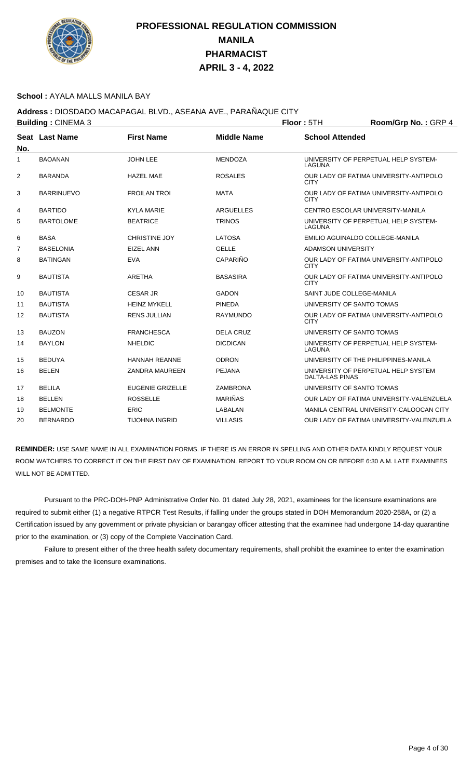

### **School :** AYALA MALLS MANILA BAY

## **Address :** DIOSDADO MACAPAGAL BLVD., ASEANA AVE., PARAÑAQUE CITY

| <b>Building: CINEMA 3</b> |                       |                         |                    | Floor: 5TH                       | Room/Grp No.: GRP 4                      |
|---------------------------|-----------------------|-------------------------|--------------------|----------------------------------|------------------------------------------|
| No.                       | <b>Seat Last Name</b> | <b>First Name</b>       | <b>Middle Name</b> | <b>School Attended</b>           |                                          |
| $\mathbf{1}$              | <b>BAOANAN</b>        | <b>JOHN LEE</b>         | <b>MENDOZA</b>     | LAGUNA                           | UNIVERSITY OF PERPETUAL HELP SYSTEM-     |
| 2                         | <b>BARANDA</b>        | <b>HAZEL MAE</b>        | <b>ROSALES</b>     | <b>CITY</b>                      | OUR LADY OF FATIMA UNIVERSITY-ANTIPOLO   |
| 3                         | <b>BARRINUEVO</b>     | <b>FROILAN TROI</b>     | <b>MATA</b>        | <b>CITY</b>                      | OUR LADY OF FATIMA UNIVERSITY-ANTIPOLO   |
| 4                         | <b>BARTIDO</b>        | <b>KYLA MARIE</b>       | <b>ARGUELLES</b>   | CENTRO ESCOLAR UNIVERSITY-MANILA |                                          |
| 5                         | <b>BARTOLOME</b>      | <b>BEATRICE</b>         | <b>TRINOS</b>      | <b>LAGUNA</b>                    | UNIVERSITY OF PERPETUAL HELP SYSTEM-     |
| 6                         | <b>BASA</b>           | <b>CHRISTINE JOY</b>    | <b>LATOSA</b>      | EMILIO AGUINALDO COLLEGE-MANILA  |                                          |
| 7                         | <b>BASELONIA</b>      | <b>EIZEL ANN</b>        | <b>GELLE</b>       | ADAMSON UNIVERSITY               |                                          |
| 8                         | <b>BATINGAN</b>       | <b>EVA</b>              | CAPARIÑO           | <b>CITY</b>                      | OUR LADY OF FATIMA UNIVERSITY-ANTIPOLO   |
| 9                         | <b>BAUTISTA</b>       | <b>ARETHA</b>           | <b>BASASIRA</b>    | <b>CITY</b>                      | OUR LADY OF FATIMA UNIVERSITY-ANTIPOLO   |
| 10                        | <b>BAUTISTA</b>       | <b>CESAR JR</b>         | <b>GADON</b>       | SAINT JUDE COLLEGE-MANILA        |                                          |
| 11                        | <b>BAUTISTA</b>       | <b>HEINZ MYKELL</b>     | <b>PINEDA</b>      | UNIVERSITY OF SANTO TOMAS        |                                          |
| 12                        | <b>BAUTISTA</b>       | <b>RENS JULLIAN</b>     | <b>RAYMUNDO</b>    | <b>CITY</b>                      | OUR LADY OF FATIMA UNIVERSITY-ANTIPOLO   |
| 13                        | <b>BAUZON</b>         | <b>FRANCHESCA</b>       | <b>DELA CRUZ</b>   | UNIVERSITY OF SANTO TOMAS        |                                          |
| 14                        | <b>BAYLON</b>         | <b>NHELDIC</b>          | <b>DICDICAN</b>    | LAGUNA                           | UNIVERSITY OF PERPETUAL HELP SYSTEM-     |
| 15                        | <b>BEDUYA</b>         | <b>HANNAH REANNE</b>    | <b>ODRON</b>       |                                  | UNIVERSITY OF THE PHILIPPINES-MANILA     |
| 16                        | <b>BELEN</b>          | <b>ZANDRA MAUREEN</b>   | <b>PEJANA</b>      | <b>DALTA-LAS PINAS</b>           | UNIVERSITY OF PERPETUAL HELP SYSTEM      |
| 17                        | <b>BELILA</b>         | <b>EUGENIE GRIZELLE</b> | <b>ZAMBRONA</b>    | UNIVERSITY OF SANTO TOMAS        |                                          |
| 18                        | <b>BELLEN</b>         | <b>ROSSELLE</b>         | <b>MARIÑAS</b>     |                                  | OUR LADY OF FATIMA UNIVERSITY-VALENZUELA |
| 19                        | <b>BELMONTE</b>       | <b>ERIC</b>             | <b>LABALAN</b>     |                                  | MANILA CENTRAL UNIVERSITY-CALOOCAN CITY  |
| 20                        | <b>BERNARDO</b>       | <b>TIJOHNA INGRID</b>   | <b>VILLASIS</b>    |                                  | OUR LADY OF FATIMA UNIVERSITY-VALENZUELA |

**REMINDER:** USE SAME NAME IN ALL EXAMINATION FORMS. IF THERE IS AN ERROR IN SPELLING AND OTHER DATA KINDLY REQUEST YOUR ROOM WATCHERS TO CORRECT IT ON THE FIRST DAY OF EXAMINATION. REPORT TO YOUR ROOM ON OR BEFORE 6:30 A.M. LATE EXAMINEES WILL NOT BE ADMITTED.

 Pursuant to the PRC-DOH-PNP Administrative Order No. 01 dated July 28, 2021, examinees for the licensure examinations are required to submit either (1) a negative RTPCR Test Results, if falling under the groups stated in DOH Memorandum 2020-258A, or (2) a Certification issued by any government or private physician or barangay officer attesting that the examinee had undergone 14-day quarantine prior to the examination, or (3) copy of the Complete Vaccination Card.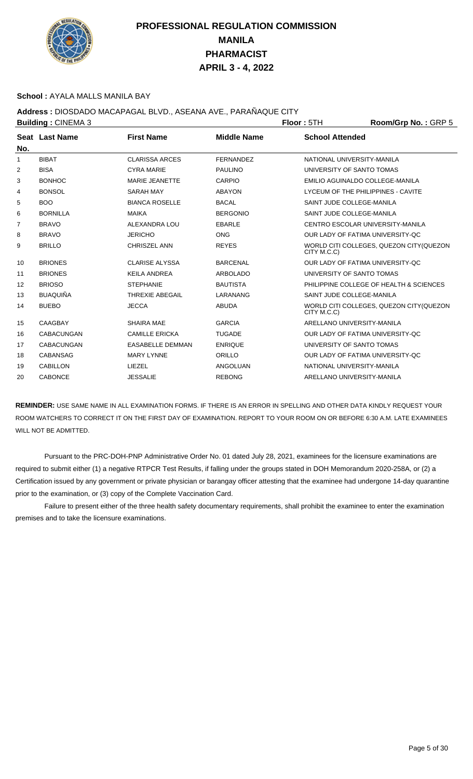

### **School :** AYALA MALLS MANILA BAY

## **Address :** DIOSDADO MACAPAGAL BLVD., ASEANA AVE., PARAÑAQUE CITY

|                | <b>Building: CINEMA 3</b> |                         |                    | <b>Floor: 5TH</b>                  | Room/Grp No.: GRP 5                      |
|----------------|---------------------------|-------------------------|--------------------|------------------------------------|------------------------------------------|
| No.            | Seat Last Name            | <b>First Name</b>       | <b>Middle Name</b> | <b>School Attended</b>             |                                          |
| 1              | <b>BIBAT</b>              | <b>CLARISSA ARCES</b>   | <b>FERNANDEZ</b>   | NATIONAL UNIVERSITY-MANILA         |                                          |
| 2              | <b>BISA</b>               | <b>CYRA MARIE</b>       | <b>PAULINO</b>     | UNIVERSITY OF SANTO TOMAS          |                                          |
| 3              | <b>BONHOC</b>             | <b>MARIE JEANETTE</b>   | CARPIO             | EMILIO AGUINALDO COLLEGE-MANILA    |                                          |
| 4              | <b>BONSOL</b>             | <b>SARAH MAY</b>        | <b>ABAYON</b>      | LYCEUM OF THE PHILIPPINES - CAVITE |                                          |
| 5              | <b>BOO</b>                | <b>BIANCA ROSELLE</b>   | <b>BACAL</b>       | SAINT JUDE COLLEGE-MANILA          |                                          |
| 6              | <b>BORNILLA</b>           | <b>MAIKA</b>            | <b>BERGONIO</b>    | SAINT JUDE COLLEGE-MANILA          |                                          |
| $\overline{7}$ | <b>BRAVO</b>              | ALEXANDRA LOU           | <b>EBARLE</b>      | CENTRO ESCOLAR UNIVERSITY-MANILA   |                                          |
| 8              | <b>BRAVO</b>              | <b>JERICHO</b>          | <b>ONG</b>         | OUR LADY OF FATIMA UNIVERSITY-QC   |                                          |
| 9              | <b>BRILLO</b>             | <b>CHRISZEL ANN</b>     | <b>REYES</b>       | CITY M.C.C)                        | WORLD CITI COLLEGES, QUEZON CITY(QUEZON  |
| 10             | <b>BRIONES</b>            | <b>CLARISE ALYSSA</b>   | <b>BARCENAL</b>    | OUR LADY OF FATIMA UNIVERSITY-OC   |                                          |
| 11             | <b>BRIONES</b>            | <b>KEILA ANDREA</b>     | <b>ARBOLADO</b>    | UNIVERSITY OF SANTO TOMAS          |                                          |
| 12             | <b>BRIOSO</b>             | <b>STEPHANIE</b>        | <b>BAUTISTA</b>    |                                    | PHILIPPINE COLLEGE OF HEALTH & SCIENCES  |
| 13             | <b>BUAQUIÑA</b>           | <b>THREXIE ABEGAIL</b>  | LARANANG           | SAINT JUDE COLLEGE-MANILA          |                                          |
| 14             | <b>BUEBO</b>              | <b>JECCA</b>            | <b>ABUDA</b>       | CITY M.C.C)                        | WORLD CITI COLLEGES, QUEZON CITY (QUEZON |
| 15             | <b>CAAGBAY</b>            | <b>SHAIRA MAE</b>       | <b>GARCIA</b>      | ARELLANO UNIVERSITY-MANILA         |                                          |
| 16             | <b>CABACUNGAN</b>         | <b>CAMILLE ERICKA</b>   | <b>TUGADE</b>      | OUR LADY OF FATIMA UNIVERSITY-OC   |                                          |
| 17             | <b>CABACUNGAN</b>         | <b>EASABELLE DEMMAN</b> | <b>ENRIQUE</b>     | UNIVERSITY OF SANTO TOMAS          |                                          |
| 18             | <b>CABANSAG</b>           | <b>MARY LYNNE</b>       | ORILLO             | OUR LADY OF FATIMA UNIVERSITY-QC   |                                          |
| 19             | <b>CABILLON</b>           | LIEZEL                  | <b>ANGOLUAN</b>    | NATIONAL UNIVERSITY-MANILA         |                                          |
| 20             | <b>CABONCE</b>            | <b>JESSALIE</b>         | <b>REBONG</b>      | ARELLANO UNIVERSITY-MANILA         |                                          |
|                |                           |                         |                    |                                    |                                          |

**REMINDER:** USE SAME NAME IN ALL EXAMINATION FORMS. IF THERE IS AN ERROR IN SPELLING AND OTHER DATA KINDLY REQUEST YOUR ROOM WATCHERS TO CORRECT IT ON THE FIRST DAY OF EXAMINATION. REPORT TO YOUR ROOM ON OR BEFORE 6:30 A.M. LATE EXAMINEES WILL NOT BE ADMITTED.

 Pursuant to the PRC-DOH-PNP Administrative Order No. 01 dated July 28, 2021, examinees for the licensure examinations are required to submit either (1) a negative RTPCR Test Results, if falling under the groups stated in DOH Memorandum 2020-258A, or (2) a Certification issued by any government or private physician or barangay officer attesting that the examinee had undergone 14-day quarantine prior to the examination, or (3) copy of the Complete Vaccination Card.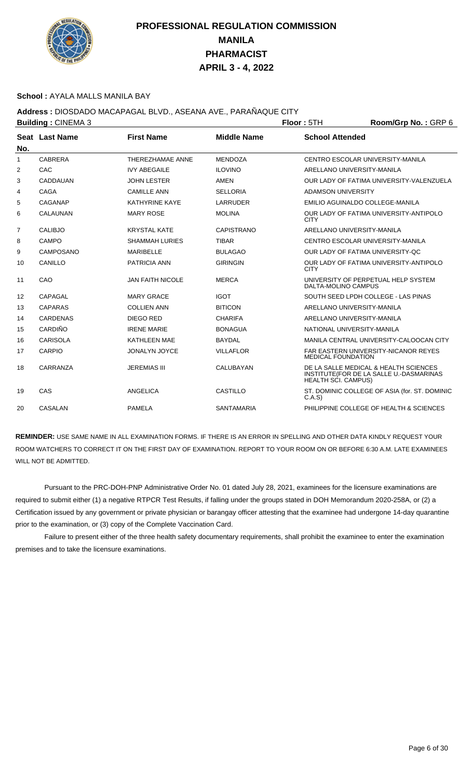

### **School :** AYALA MALLS MANILA BAY

## **Address :** DIOSDADO MACAPAGAL BLVD., ASEANA AVE., PARAÑAQUE CITY

| <b>Building: CINEMA 3</b> |                 |                         |                    | Floor: 5TH                       | Room/Grp No.: GRP 6                                                              |
|---------------------------|-----------------|-------------------------|--------------------|----------------------------------|----------------------------------------------------------------------------------|
| No.                       | Seat Last Name  | <b>First Name</b>       | <b>Middle Name</b> | <b>School Attended</b>           |                                                                                  |
| $\mathbf{1}$              | CABRERA         | THEREZHAMAE ANNE        | <b>MENDOZA</b>     | CENTRO ESCOLAR UNIVERSITY-MANILA |                                                                                  |
| 2                         | CAC             | <b>IVY ABEGAILE</b>     | <b>ILOVINO</b>     | ARELLANO UNIVERSITY-MANILA       |                                                                                  |
| 3                         | CADDAUAN        | <b>JOHN LESTER</b>      | AMEN               |                                  | OUR LADY OF FATIMA UNIVERSITY-VALENZUELA                                         |
| 4                         | <b>CAGA</b>     | <b>CAMILLE ANN</b>      | <b>SELLORIA</b>    | <b>ADAMSON UNIVERSITY</b>        |                                                                                  |
| 5                         | CAGANAP         | KATHYRINE KAYE          | <b>LARRUDER</b>    | EMILIO AGUINALDO COLLEGE-MANILA  |                                                                                  |
| 6                         | <b>CALAUNAN</b> | <b>MARY ROSE</b>        | <b>MOLINA</b>      | <b>CITY</b>                      | OUR LADY OF FATIMA UNIVERSITY-ANTIPOLO                                           |
| $\overline{7}$            | <b>CALIBJO</b>  | <b>KRYSTAL KATE</b>     | <b>CAPISTRANO</b>  | ARELLANO UNIVERSITY-MANILA       |                                                                                  |
| 8                         | CAMPO           | <b>SHAMMAH LURIES</b>   | <b>TIBAR</b>       | CENTRO ESCOLAR UNIVERSITY-MANILA |                                                                                  |
| 9                         | CAMPOSANO       | <b>MARIBELLE</b>        | <b>BULAGAO</b>     | OUR LADY OF FATIMA UNIVERSITY-OC |                                                                                  |
| 10                        | CANILLO         | <b>PATRICIA ANN</b>     | <b>GIRINGIN</b>    | <b>CITY</b>                      | OUR LADY OF FATIMA UNIVERSITY-ANTIPOLO                                           |
| 11                        | CAO             | <b>JAN FAITH NICOLE</b> | <b>MERCA</b>       | DALTA-MOLINO CAMPUS              | UNIVERSITY OF PERPETUAL HELP SYSTEM                                              |
| $12 \overline{ }$         | CAPAGAL         | <b>MARY GRACE</b>       | <b>IGOT</b>        |                                  | SOUTH SEED LPDH COLLEGE - LAS PINAS                                              |
| 13                        | <b>CAPARAS</b>  | <b>COLLIEN ANN</b>      | <b>BITICON</b>     | ARELLANO UNIVERSITY-MANILA       |                                                                                  |
| 14                        | <b>CARDENAS</b> | DIEGO RED               | <b>CHARIFA</b>     | ARELLANO UNIVERSITY-MANILA       |                                                                                  |
| 15                        | CARDIÑO         | <b>IRENE MARIE</b>      | <b>BONAGUA</b>     | NATIONAL UNIVERSITY-MANILA       |                                                                                  |
| 16                        | <b>CARISOLA</b> | <b>KATHLEEN MAE</b>     | <b>BAYDAL</b>      |                                  | MANILA CENTRAL UNIVERSITY-CALOOCAN CITY                                          |
| 17                        | <b>CARPIO</b>   | <b>JONALYN JOYCE</b>    | <b>VILLAFLOR</b>   | <b>MEDICAL FOUNDATION</b>        | FAR EASTERN UNIVERSITY-NICANOR REYES                                             |
| 18                        | CARRANZA        | <b>JEREMIAS III</b>     | CALUBAYAN          | <b>HEALTH SCI. CAMPUS)</b>       | DE LA SALLE MEDICAL & HEALTH SCIENCES<br>INSTITUTE(FOR DE LA SALLE U.-DASMARINAS |
| 19                        | CAS             | <b>ANGELICA</b>         | CASTILLO           | C.A.S                            | ST. DOMINIC COLLEGE OF ASIA (for. ST. DOMINIC                                    |
| 20                        | <b>CASALAN</b>  | <b>PAMELA</b>           | <b>SANTAMARIA</b>  |                                  | PHILIPPINE COLLEGE OF HEALTH & SCIENCES                                          |

**REMINDER:** USE SAME NAME IN ALL EXAMINATION FORMS. IF THERE IS AN ERROR IN SPELLING AND OTHER DATA KINDLY REQUEST YOUR ROOM WATCHERS TO CORRECT IT ON THE FIRST DAY OF EXAMINATION. REPORT TO YOUR ROOM ON OR BEFORE 6:30 A.M. LATE EXAMINEES WILL NOT BE ADMITTED.

 Pursuant to the PRC-DOH-PNP Administrative Order No. 01 dated July 28, 2021, examinees for the licensure examinations are required to submit either (1) a negative RTPCR Test Results, if falling under the groups stated in DOH Memorandum 2020-258A, or (2) a Certification issued by any government or private physician or barangay officer attesting that the examinee had undergone 14-day quarantine prior to the examination, or (3) copy of the Complete Vaccination Card.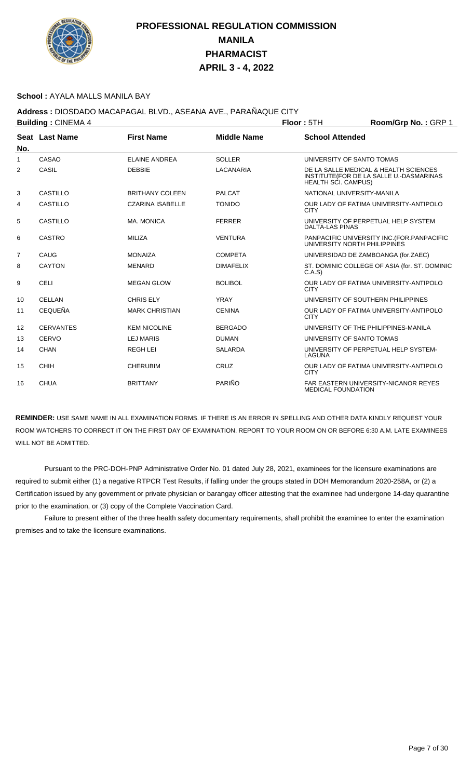

### **School :** AYALA MALLS MANILA BAY

## **Address :** DIOSDADO MACAPAGAL BLVD., ASEANA AVE., PARAÑAQUE CITY

| <b>Building: CINEMA 4</b> |                  |                         | Floor: 5TH         | Room/Grp No.: GRP 1          |                                                                                  |
|---------------------------|------------------|-------------------------|--------------------|------------------------------|----------------------------------------------------------------------------------|
| No.                       | Seat Last Name   | <b>First Name</b>       | <b>Middle Name</b> | <b>School Attended</b>       |                                                                                  |
| 1                         | CASAO            | <b>ELAINE ANDREA</b>    | <b>SOLLER</b>      | UNIVERSITY OF SANTO TOMAS    |                                                                                  |
| 2                         | CASIL            | <b>DEBBIE</b>           | LACANARIA          | HEALTH SCI. CAMPUS)          | DE LA SALLE MEDICAL & HEALTH SCIENCES<br>INSTITUTE(FOR DE LA SALLE U.-DASMARINAS |
| 3                         | CASTILLO         | <b>BRITHANY COLEEN</b>  | <b>PALCAT</b>      | NATIONAL UNIVERSITY-MANILA   |                                                                                  |
| 4                         | CASTILLO         | <b>CZARINA ISABELLE</b> | <b>TONIDO</b>      | <b>CITY</b>                  | OUR LADY OF FATIMA UNIVERSITY-ANTIPOLO                                           |
| 5                         | <b>CASTILLO</b>  | MA, MONICA              | <b>FERRER</b>      | <b>DALTA-LAS PINAS</b>       | UNIVERSITY OF PERPETUAL HELP SYSTEM                                              |
| 6                         | CASTRO           | MILIZA                  | <b>VENTURA</b>     | UNIVERSITY NORTH PHILIPPINES | PANPACIFIC UNIVERSITY INC. (FOR. PANPACIFIC                                      |
| $\overline{7}$            | CAUG             | <b>MONAIZA</b>          | <b>COMPETA</b>     |                              | UNIVERSIDAD DE ZAMBOANGA (for.ZAEC)                                              |
| 8                         | <b>CAYTON</b>    | <b>MENARD</b>           | <b>DIMAFELIX</b>   | C.A.S                        | ST. DOMINIC COLLEGE OF ASIA (for. ST. DOMINIC                                    |
| 9                         | <b>CELI</b>      | <b>MEGAN GLOW</b>       | <b>BOLIBOL</b>     | <b>CITY</b>                  | OUR LADY OF FATIMA UNIVERSITY-ANTIPOLO                                           |
| 10                        | <b>CELLAN</b>    | <b>CHRIS ELY</b>        | <b>YRAY</b>        |                              | UNIVERSITY OF SOUTHERN PHILIPPINES                                               |
| 11                        | <b>CEQUEÑA</b>   | <b>MARK CHRISTIAN</b>   | <b>CENINA</b>      | <b>CITY</b>                  | OUR LADY OF FATIMA UNIVERSITY-ANTIPOLO                                           |
| 12                        | <b>CERVANTES</b> | <b>KEM NICOLINE</b>     | <b>BERGADO</b>     |                              | UNIVERSITY OF THE PHILIPPINES-MANILA                                             |
| 13                        | CERVO            | <b>LEJ MARIS</b>        | <b>DUMAN</b>       | UNIVERSITY OF SANTO TOMAS    |                                                                                  |
| 14                        | CHAN             | <b>REGHLEI</b>          | <b>SALARDA</b>     | LAGUNA                       | UNIVERSITY OF PERPETUAL HELP SYSTEM-                                             |
| 15                        | <b>CHIH</b>      | <b>CHERUBIM</b>         | CRUZ               | <b>CITY</b>                  | OUR LADY OF FATIMA UNIVERSITY-ANTIPOLO                                           |
| 16                        | <b>CHUA</b>      | <b>BRITTANY</b>         | PARIÑO             | <b>MEDICAL FOUNDATION</b>    | <b>FAR EASTERN UNIVERSITY-NICANOR REYES</b>                                      |

**REMINDER:** USE SAME NAME IN ALL EXAMINATION FORMS. IF THERE IS AN ERROR IN SPELLING AND OTHER DATA KINDLY REQUEST YOUR ROOM WATCHERS TO CORRECT IT ON THE FIRST DAY OF EXAMINATION. REPORT TO YOUR ROOM ON OR BEFORE 6:30 A.M. LATE EXAMINEES WILL NOT BE ADMITTED.

 Pursuant to the PRC-DOH-PNP Administrative Order No. 01 dated July 28, 2021, examinees for the licensure examinations are required to submit either (1) a negative RTPCR Test Results, if falling under the groups stated in DOH Memorandum 2020-258A, or (2) a Certification issued by any government or private physician or barangay officer attesting that the examinee had undergone 14-day quarantine prior to the examination, or (3) copy of the Complete Vaccination Card.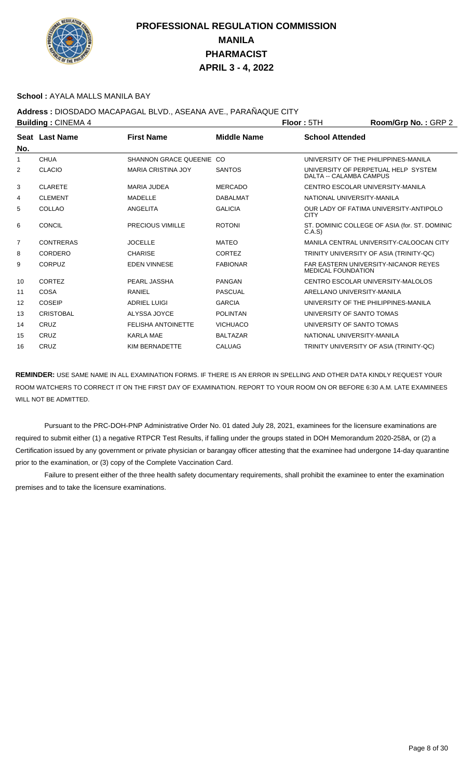

### **School :** AYALA MALLS MANILA BAY

**Address :** DIOSDADO MACAPAGAL BLVD., ASEANA AVE., PARAÑAQUE CITY

| <b>Building: CINEMA 4</b> |                  | <b>Floor: 5TH</b>            | Room/Grp No.: GRP 2 |                            |                                               |  |
|---------------------------|------------------|------------------------------|---------------------|----------------------------|-----------------------------------------------|--|
|                           | Seat Last Name   | <b>First Name</b>            | <b>Middle Name</b>  | <b>School Attended</b>     |                                               |  |
| No.                       |                  |                              |                     |                            |                                               |  |
| 1                         | <b>CHUA</b>      | <b>SHANNON GRACE QUEENIE</b> | ഹ                   |                            | UNIVERSITY OF THE PHILIPPINES-MANILA          |  |
| 2                         | <b>CLACIO</b>    | <b>MARIA CRISTINA JOY</b>    | <b>SANTOS</b>       | DALTA -- CALAMBA CAMPUS    | UNIVERSITY OF PERPETUAL HELP SYSTEM           |  |
| 3                         | <b>CLARETE</b>   | MARIA JUDEA                  | <b>MERCADO</b>      |                            | CENTRO ESCOLAR UNIVERSITY-MANILA              |  |
| 4                         | <b>CLEMENT</b>   | <b>MADELLE</b>               | <b>DABALMAT</b>     | NATIONAL UNIVERSITY-MANILA |                                               |  |
| 5                         | COLLAO           | ANGELITA                     | <b>GALICIA</b>      | <b>CITY</b>                | OUR LADY OF FATIMA UNIVERSITY-ANTIPOLO        |  |
| 6                         | <b>CONCIL</b>    | PRECIOUS VIMILLE             | <b>ROTONI</b>       | C.A.S                      | ST. DOMINIC COLLEGE OF ASIA (for. ST. DOMINIC |  |
| $\overline{7}$            | <b>CONTRERAS</b> | <b>JOCELLE</b>               | <b>MATEO</b>        |                            | MANILA CENTRAL UNIVERSITY-CALOOCAN CITY       |  |
| 8                         | CORDERO          | <b>CHARISE</b>               | <b>CORTEZ</b>       |                            | TRINITY UNIVERSITY OF ASIA (TRINITY-QC)       |  |
| 9                         | CORPUZ           | <b>EDEN VINNESE</b>          | <b>FABIONAR</b>     | <b>MEDICAL FOUNDATION</b>  | <b>FAR EASTERN UNIVERSITY-NICANOR REYES</b>   |  |
| 10                        | <b>CORTEZ</b>    | PEARL JASSHA                 | <b>PANGAN</b>       |                            | CENTRO ESCOLAR UNIVERSITY MALOLOS             |  |
| 11                        | <b>COSA</b>      | RANIEL                       | <b>PASCUAL</b>      | ARELLANO UNIVERSITY-MANILA |                                               |  |
| 12                        | <b>COSEIP</b>    | <b>ADRIEL LUIGI</b>          | <b>GARCIA</b>       |                            | UNIVERSITY OF THE PHILIPPINES-MANILA          |  |
| 13                        | <b>CRISTOBAL</b> | ALYSSA JOYCE                 | <b>POLINTAN</b>     | UNIVERSITY OF SANTO TOMAS  |                                               |  |
| 14                        | CRUZ             | <b>FELISHA ANTOINETTE</b>    | <b>VICHUACO</b>     | UNIVERSITY OF SANTO TOMAS  |                                               |  |
| 15                        | CRUZ             | <b>KARLA MAE</b>             | <b>BALTAZAR</b>     | NATIONAL UNIVERSITY-MANILA |                                               |  |
| 16                        | CRUZ             | KIM BERNADETTE               | <b>CALUAG</b>       |                            | TRINITY UNIVERSITY OF ASIA (TRINITY-QC)       |  |

**REMINDER:** USE SAME NAME IN ALL EXAMINATION FORMS. IF THERE IS AN ERROR IN SPELLING AND OTHER DATA KINDLY REQUEST YOUR ROOM WATCHERS TO CORRECT IT ON THE FIRST DAY OF EXAMINATION. REPORT TO YOUR ROOM ON OR BEFORE 6:30 A.M. LATE EXAMINEES WILL NOT BE ADMITTED.

 Pursuant to the PRC-DOH-PNP Administrative Order No. 01 dated July 28, 2021, examinees for the licensure examinations are required to submit either (1) a negative RTPCR Test Results, if falling under the groups stated in DOH Memorandum 2020-258A, or (2) a Certification issued by any government or private physician or barangay officer attesting that the examinee had undergone 14-day quarantine prior to the examination, or (3) copy of the Complete Vaccination Card.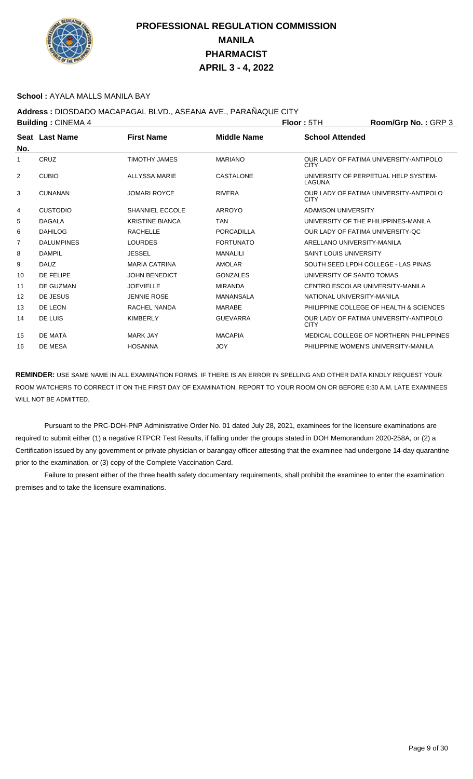

### **School :** AYALA MALLS MANILA BAY

**Address :** DIOSDADO MACAPAGAL BLVD., ASEANA AVE., PARAÑAQUE CITY

| <b>Building: CINEMA 4</b> |                   |                        |                    | <b>Floor: 5TH</b>             | Room/Grp No.: GRP 3                     |
|---------------------------|-------------------|------------------------|--------------------|-------------------------------|-----------------------------------------|
| No.                       | Seat Last Name    | <b>First Name</b>      | <b>Middle Name</b> | <b>School Attended</b>        |                                         |
| 1                         | CRUZ              | <b>TIMOTHY JAMES</b>   | <b>MARIANO</b>     | <b>CITY</b>                   | OUR LADY OF FATIMA UNIVERSITY-ANTIPOLO  |
| 2                         | <b>CUBIO</b>      | <b>ALLYSSA MARIE</b>   | <b>CASTALONE</b>   | LAGUNA                        | UNIVERSITY OF PERPETUAL HELP SYSTEM-    |
| 3                         | <b>CUNANAN</b>    | <b>JOMARI ROYCE</b>    | <b>RIVERA</b>      | <b>CITY</b>                   | OUR LADY OF FATIMA UNIVERSITY-ANTIPOLO  |
| 4                         | <b>CUSTODIO</b>   | <b>SHANNIEL ECCOLE</b> | <b>ARROYO</b>      | ADAMSON UNIVERSITY            |                                         |
| 5                         | <b>DAGALA</b>     | <b>KRISTINE BIANCA</b> | <b>TAN</b>         |                               | UNIVERSITY OF THE PHILIPPINES-MANILA    |
| 6                         | <b>DAHILOG</b>    | <b>RACHELLE</b>        | <b>PORCADILLA</b>  |                               | OUR LADY OF FATIMA UNIVERSITY-OC        |
| 7                         | <b>DALUMPINES</b> | <b>LOURDES</b>         | <b>FORTUNATO</b>   | ARELLANO UNIVERSITY-MANILA    |                                         |
| 8                         | <b>DAMPIL</b>     | <b>JESSEL</b>          | <b>MANALILI</b>    | <b>SAINT LOUIS UNIVERSITY</b> |                                         |
| 9                         | <b>DAUZ</b>       | <b>MARIA CATRINA</b>   | <b>AMOLAR</b>      |                               | SOUTH SEED LPDH COLLEGE - LAS PINAS     |
| 10                        | DE FELIPE         | <b>JOHN BENEDICT</b>   | <b>GONZALES</b>    | UNIVERSITY OF SANTO TOMAS     |                                         |
| 11                        | DE GUZMAN         | <b>JOEVIELLE</b>       | <b>MIRANDA</b>     |                               | CENTRO ESCOLAR UNIVERSITY-MANILA        |
| 12                        | DE JESUS          | <b>JENNIE ROSE</b>     | MANANSALA          | NATIONAL UNIVERSITY-MANILA    |                                         |
| 13                        | DE LEON           | RACHEL NANDA           | <b>MARABE</b>      |                               | PHILIPPINE COLLEGE OF HEALTH & SCIENCES |
| 14                        | DE LUIS           | <b>KIMBERLY</b>        | <b>GUEVARRA</b>    | <b>CITY</b>                   | OUR LADY OF FATIMA UNIVERSITY-ANTIPOLO  |
| 15                        | <b>DE MATA</b>    | <b>MARK JAY</b>        | <b>MACAPIA</b>     |                               | MEDICAL COLLEGE OF NORTHERN PHILIPPINES |
| 16                        | DE MESA           | <b>HOSANNA</b>         | <b>JOY</b>         |                               | PHILIPPINE WOMEN'S UNIVERSITY-MANILA    |

**REMINDER:** USE SAME NAME IN ALL EXAMINATION FORMS. IF THERE IS AN ERROR IN SPELLING AND OTHER DATA KINDLY REQUEST YOUR ROOM WATCHERS TO CORRECT IT ON THE FIRST DAY OF EXAMINATION. REPORT TO YOUR ROOM ON OR BEFORE 6:30 A.M. LATE EXAMINEES WILL NOT BE ADMITTED.

 Pursuant to the PRC-DOH-PNP Administrative Order No. 01 dated July 28, 2021, examinees for the licensure examinations are required to submit either (1) a negative RTPCR Test Results, if falling under the groups stated in DOH Memorandum 2020-258A, or (2) a Certification issued by any government or private physician or barangay officer attesting that the examinee had undergone 14-day quarantine prior to the examination, or (3) copy of the Complete Vaccination Card.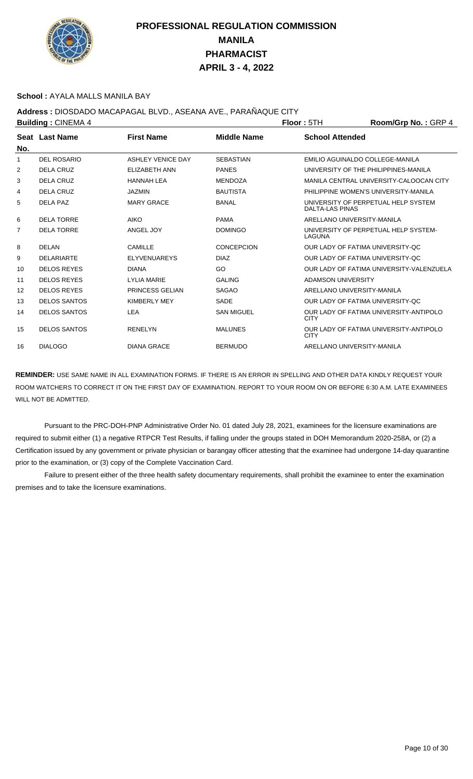

### **School :** AYALA MALLS MANILA BAY

## **Address :** DIOSDADO MACAPAGAL BLVD., ASEANA AVE., PARAÑAQUE CITY

| <b>Building: CINEMA 4</b> |                     |                          |                    | Floor: 5TH                       | Room/Grp No.: GRP 4                      |
|---------------------------|---------------------|--------------------------|--------------------|----------------------------------|------------------------------------------|
|                           | Seat Last Name      | <b>First Name</b>        | <b>Middle Name</b> | <b>School Attended</b>           |                                          |
| No.                       |                     |                          |                    |                                  |                                          |
| 1                         | <b>DEL ROSARIO</b>  | <b>ASHLEY VENICE DAY</b> | <b>SEBASTIAN</b>   | EMILIO AGUINALDO COLLEGE-MANILA  |                                          |
| 2                         | <b>DELA CRUZ</b>    | ELIZABETH ANN            | <b>PANES</b>       |                                  | UNIVERSITY OF THE PHILIPPINES-MANILA     |
| 3                         | <b>DELA CRUZ</b>    | <b>HANNAH LEA</b>        | <b>MENDOZA</b>     |                                  | MANILA CENTRAL UNIVERSITY-CALOOCAN CITY  |
| 4                         | <b>DELA CRUZ</b>    | <b>JAZMIN</b>            | <b>BAUTISTA</b>    |                                  | PHILIPPINE WOMEN'S UNIVERSITY-MANILA     |
| 5                         | DELA PAZ            | <b>MARY GRACE</b>        | <b>BANAL</b>       | DALTA-LAS PINAS                  | UNIVERSITY OF PERPETUAL HELP SYSTEM      |
| 6                         | <b>DELA TORRE</b>   | <b>AIKO</b>              | <b>PAMA</b>        | ARELLANO UNIVERSITY-MANILA       |                                          |
| $\overline{7}$            | <b>DELA TORRE</b>   | ANGEL JOY                | <b>DOMINGO</b>     | LAGUNA                           | UNIVERSITY OF PERPETUAL HELP SYSTEM-     |
| 8                         | DELAN               | <b>CAMILLE</b>           | <b>CONCEPCION</b>  | OUR LADY OF FATIMA UNIVERSITY-QC |                                          |
| 9                         | <b>DELARIARTE</b>   | <b>ELYVENUAREYS</b>      | <b>DIAZ</b>        | OUR LADY OF FATIMA UNIVERSITY-QC |                                          |
| 10                        | <b>DELOS REYES</b>  | <b>DIANA</b>             | GO                 |                                  | OUR LADY OF FATIMA UNIVERSITY-VALENZUELA |
| 11                        | <b>DELOS REYES</b>  | <b>LYLIA MARIE</b>       | <b>GALING</b>      | ADAMSON UNIVERSITY               |                                          |
| 12                        | <b>DELOS REYES</b>  | PRINCESS GELIAN          | <b>SAGAO</b>       | ARELLANO UNIVERSITY-MANILA       |                                          |
| 13                        | <b>DELOS SANTOS</b> | <b>KIMBERLY MEY</b>      | <b>SADE</b>        | OUR LADY OF FATIMA UNIVERSITY-OC |                                          |
| 14                        | <b>DELOS SANTOS</b> | LEA                      | <b>SAN MIGUEL</b>  | <b>CITY</b>                      | OUR LADY OF FATIMA UNIVERSITY-ANTIPOLO   |
| 15                        | <b>DELOS SANTOS</b> | <b>RENELYN</b>           | <b>MALUNES</b>     | <b>CITY</b>                      | OUR LADY OF FATIMA UNIVERSITY-ANTIPOLO   |
| 16                        | <b>DIALOGO</b>      | <b>DIANA GRACE</b>       | <b>BERMUDO</b>     | ARELLANO UNIVERSITY-MANILA       |                                          |

**REMINDER:** USE SAME NAME IN ALL EXAMINATION FORMS. IF THERE IS AN ERROR IN SPELLING AND OTHER DATA KINDLY REQUEST YOUR ROOM WATCHERS TO CORRECT IT ON THE FIRST DAY OF EXAMINATION. REPORT TO YOUR ROOM ON OR BEFORE 6:30 A.M. LATE EXAMINEES WILL NOT BE ADMITTED.

 Pursuant to the PRC-DOH-PNP Administrative Order No. 01 dated July 28, 2021, examinees for the licensure examinations are required to submit either (1) a negative RTPCR Test Results, if falling under the groups stated in DOH Memorandum 2020-258A, or (2) a Certification issued by any government or private physician or barangay officer attesting that the examinee had undergone 14-day quarantine prior to the examination, or (3) copy of the Complete Vaccination Card.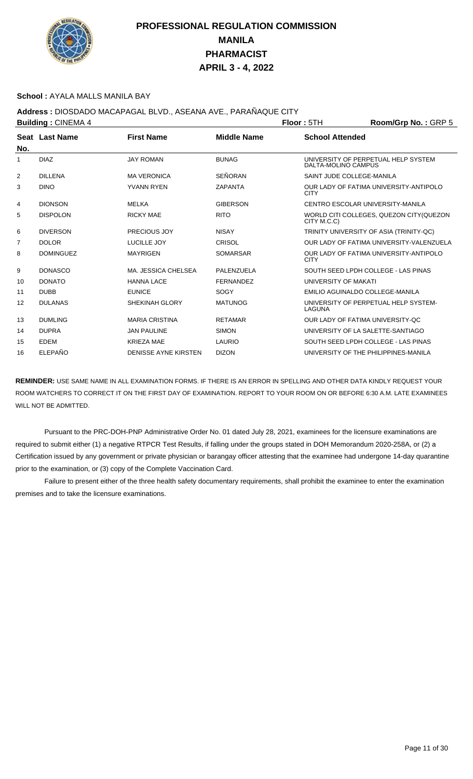

### **School :** AYALA MALLS MANILA BAY

## **Address :** DIOSDADO MACAPAGAL BLVD., ASEANA AVE., PARAÑAQUE CITY

| <b>Building: CINEMA 4</b> |                  |                             |                    | Floor: 5TH                | Room/Grp No.: GRP 5                      |
|---------------------------|------------------|-----------------------------|--------------------|---------------------------|------------------------------------------|
| No.                       | Seat Last Name   | <b>First Name</b>           | <b>Middle Name</b> | <b>School Attended</b>    |                                          |
| 1                         | <b>DIAZ</b>      | <b>JAY ROMAN</b>            | <b>BUNAG</b>       | DALTA-MOLINO CAMPUS       | UNIVERSITY OF PERPETUAL HELP SYSTEM      |
| 2                         | <b>DILLENA</b>   | <b>MA VERONICA</b>          | <b>SEÑORAN</b>     | SAINT JUDE COLLEGE-MANILA |                                          |
| 3                         | <b>DINO</b>      | <b>YVANN RYEN</b>           | ZAPANTA            | <b>CITY</b>               | OUR LADY OF FATIMA UNIVERSITY-ANTIPOLO   |
| 4                         | <b>DIONSON</b>   | <b>MELKA</b>                | <b>GIBERSON</b>    |                           | CENTRO ESCOLAR UNIVERSITY-MANILA         |
| 5                         | <b>DISPOLON</b>  | <b>RICKY MAE</b>            | <b>RITO</b>        | CITY M.C.C)               | WORLD CITI COLLEGES, QUEZON CITY (QUEZON |
| 6                         | <b>DIVERSON</b>  | PRECIOUS JOY                | <b>NISAY</b>       |                           | TRINITY UNIVERSITY OF ASIA (TRINITY-QC)  |
| 7                         | <b>DOLOR</b>     | LUCILLE JOY                 | <b>CRISOL</b>      |                           | OUR LADY OF FATIMA UNIVERSITY-VALENZUELA |
| 8                         | <b>DOMINGUEZ</b> | <b>MAYRIGEN</b>             | <b>SOMARSAR</b>    | <b>CITY</b>               | OUR LADY OF FATIMA UNIVERSITY-ANTIPOLO   |
| 9                         | <b>DONASCO</b>   | MA. JESSICA CHELSEA         | PALENZUELA         |                           | SOUTH SEED LPDH COLLEGE - LAS PINAS      |
| 10                        | <b>DONATO</b>    | <b>HANNA LACE</b>           | <b>FERNANDEZ</b>   | UNIVERSITY OF MAKATI      |                                          |
| 11                        | <b>DUBB</b>      | <b>EUNICE</b>               | SOGY               |                           | EMILIO AGUINALDO COLLEGE-MANILA          |
| $12 \overline{ }$         | <b>DULANAS</b>   | <b>SHEKINAH GLORY</b>       | <b>MATUNOG</b>     | LAGUNA                    | UNIVERSITY OF PERPETUAL HELP SYSTEM-     |
| 13                        | <b>DUMLING</b>   | <b>MARIA CRISTINA</b>       | <b>RETAMAR</b>     |                           | OUR LADY OF FATIMA UNIVERSITY-OC         |
| 14                        | <b>DUPRA</b>     | <b>JAN PAULINE</b>          | <b>SIMON</b>       |                           | UNIVERSITY OF LA SALETTE-SANTIAGO        |
| 15                        | <b>EDEM</b>      | <b>KRIEZA MAE</b>           | LAURIO             |                           | SOUTH SEED LPDH COLLEGE - LAS PINAS      |
| 16                        | <b>ELEPAÑO</b>   | <b>DENISSE AYNE KIRSTEN</b> | <b>DIZON</b>       |                           | UNIVERSITY OF THE PHILIPPINES-MANILA     |

**REMINDER:** USE SAME NAME IN ALL EXAMINATION FORMS. IF THERE IS AN ERROR IN SPELLING AND OTHER DATA KINDLY REQUEST YOUR ROOM WATCHERS TO CORRECT IT ON THE FIRST DAY OF EXAMINATION. REPORT TO YOUR ROOM ON OR BEFORE 6:30 A.M. LATE EXAMINEES WILL NOT BE ADMITTED.

 Pursuant to the PRC-DOH-PNP Administrative Order No. 01 dated July 28, 2021, examinees for the licensure examinations are required to submit either (1) a negative RTPCR Test Results, if falling under the groups stated in DOH Memorandum 2020-258A, or (2) a Certification issued by any government or private physician or barangay officer attesting that the examinee had undergone 14-day quarantine prior to the examination, or (3) copy of the Complete Vaccination Card.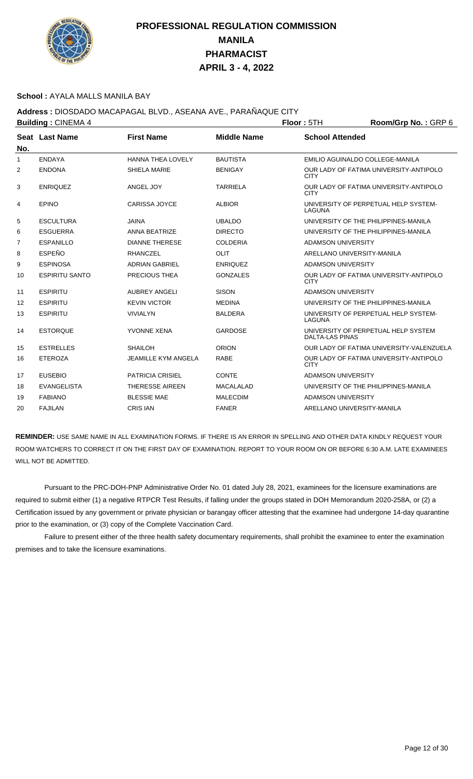

### **School :** AYALA MALLS MANILA BAY

## **Address :** DIOSDADO MACAPAGAL BLVD., ASEANA AVE., PARAÑAQUE CITY

| <b>Building: CINEMA 4</b> |                       |                            |                    | <b>Floor: 5TH</b>          | Room/Grp No.: GRP 6                      |
|---------------------------|-----------------------|----------------------------|--------------------|----------------------------|------------------------------------------|
|                           | Seat Last Name        | <b>First Name</b>          | <b>Middle Name</b> | <b>School Attended</b>     |                                          |
| No.                       |                       |                            |                    |                            |                                          |
| $\mathbf{1}$              | <b>ENDAYA</b>         | <b>HANNA THEA LOVELY</b>   | <b>BAUTISTA</b>    |                            | EMILIO AGUINALDO COLLEGE-MANILA          |
| 2                         | <b>ENDONA</b>         | <b>SHIELA MARIE</b>        | <b>BENIGAY</b>     | <b>CITY</b>                | OUR LADY OF FATIMA UNIVERSITY-ANTIPOLO   |
| 3                         | <b>ENRIQUEZ</b>       | ANGEL JOY                  | <b>TARRIELA</b>    | <b>CITY</b>                | OUR LADY OF FATIMA UNIVERSITY-ANTIPOLO   |
| 4                         | <b>EPINO</b>          | <b>CARISSA JOYCE</b>       | <b>ALBIOR</b>      | LAGUNA                     | UNIVERSITY OF PERPETUAL HELP SYSTEM-     |
| 5                         | <b>ESCULTURA</b>      | <b>JAINA</b>               | <b>UBALDO</b>      |                            | UNIVERSITY OF THE PHILIPPINES-MANILA     |
| 6                         | <b>ESGUERRA</b>       | <b>ANNA BEATRIZE</b>       | <b>DIRECTO</b>     |                            | UNIVERSITY OF THE PHILIPPINES-MANILA     |
| 7                         | <b>ESPANILLO</b>      | <b>DIANNE THERESE</b>      | <b>COLDERIA</b>    | <b>ADAMSON UNIVERSITY</b>  |                                          |
| 8                         | <b>ESPEÑO</b>         | <b>RHANCZEL</b>            | OLIT               | ARELLANO UNIVERSITY-MANILA |                                          |
| 9                         | <b>ESPINOSA</b>       | <b>ADRIAN GABRIEL</b>      | <b>ENRIQUEZ</b>    | <b>ADAMSON UNIVERSITY</b>  |                                          |
| 10                        | <b>ESPIRITU SANTO</b> | PRECIOUS THEA              | <b>GONZALES</b>    | <b>CITY</b>                | OUR LADY OF FATIMA UNIVERSITY-ANTIPOLO   |
| 11                        | <b>ESPIRITU</b>       | <b>AUBREY ANGELI</b>       | <b>SISON</b>       | <b>ADAMSON UNIVERSITY</b>  |                                          |
| $12 \overline{ }$         | <b>ESPIRITU</b>       | <b>KEVIN VICTOR</b>        | <b>MEDINA</b>      |                            | UNIVERSITY OF THE PHILIPPINES-MANILA     |
| 13                        | <b>ESPIRITU</b>       | <b>VIVIALYN</b>            | <b>BALDERA</b>     | LAGUNA                     | UNIVERSITY OF PERPETUAL HELP SYSTEM-     |
| 14                        | <b>ESTORQUE</b>       | YVONNE XENA                | <b>GARDOSE</b>     | <b>DALTA-LAS PINAS</b>     | UNIVERSITY OF PERPETUAL HELP SYSTEM      |
| 15                        | <b>ESTRELLES</b>      | <b>SHAILOH</b>             | <b>ORION</b>       |                            | OUR LADY OF FATIMA UNIVERSITY-VALENZUELA |
| 16                        | <b>ETEROZA</b>        | <b>JEAMILLE KYM ANGELA</b> | <b>RABE</b>        | <b>CITY</b>                | OUR LADY OF FATIMA UNIVERSITY-ANTIPOLO   |
| 17                        | <b>EUSEBIO</b>        | <b>PATRICIA CRISIEL</b>    | CONTE              | <b>ADAMSON UNIVERSITY</b>  |                                          |
| 18                        | <b>EVANGELISTA</b>    | <b>THERESSE AIREEN</b>     | <b>MACALALAD</b>   |                            | UNIVERSITY OF THE PHILIPPINES-MANILA     |
| 19                        | <b>FABIANO</b>        | <b>BLESSIE MAE</b>         | <b>MALECDIM</b>    | <b>ADAMSON UNIVERSITY</b>  |                                          |
| 20                        | <b>FAJILAN</b>        | <b>CRIS IAN</b>            | <b>FANER</b>       | ARELLANO UNIVERSITY-MANILA |                                          |

**REMINDER:** USE SAME NAME IN ALL EXAMINATION FORMS. IF THERE IS AN ERROR IN SPELLING AND OTHER DATA KINDLY REQUEST YOUR ROOM WATCHERS TO CORRECT IT ON THE FIRST DAY OF EXAMINATION. REPORT TO YOUR ROOM ON OR BEFORE 6:30 A.M. LATE EXAMINEES WILL NOT BE ADMITTED.

 Pursuant to the PRC-DOH-PNP Administrative Order No. 01 dated July 28, 2021, examinees for the licensure examinations are required to submit either (1) a negative RTPCR Test Results, if falling under the groups stated in DOH Memorandum 2020-258A, or (2) a Certification issued by any government or private physician or barangay officer attesting that the examinee had undergone 14-day quarantine prior to the examination, or (3) copy of the Complete Vaccination Card.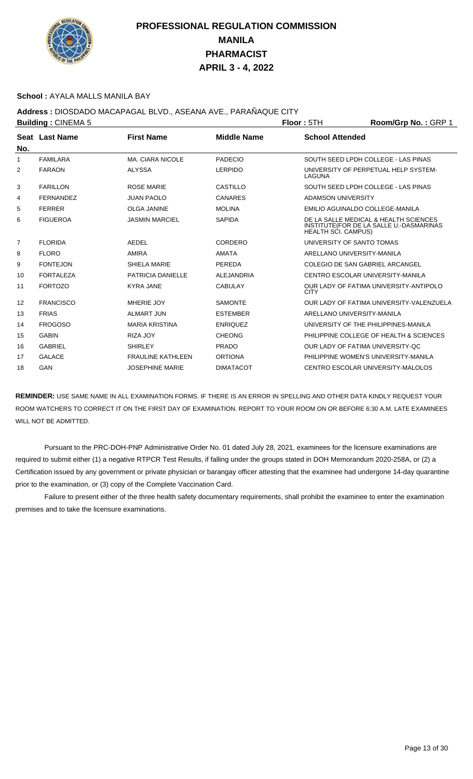

### **School :** AYALA MALLS MANILA BAY

## **Address :** DIOSDADO MACAPAGAL BLVD., ASEANA AVE., PARAÑAQUE CITY

| <b>Building: CINEMA 5</b> |                       |                          |                    | Floor: 5TH                 | Room/Grp No.: GRP 1                                                              |
|---------------------------|-----------------------|--------------------------|--------------------|----------------------------|----------------------------------------------------------------------------------|
|                           | <b>Seat Last Name</b> | <b>First Name</b>        | <b>Middle Name</b> | <b>School Attended</b>     |                                                                                  |
| No.                       |                       |                          |                    |                            |                                                                                  |
| 1                         | <b>FAMILARA</b>       | MA. CIARA NICOLE         | <b>PADECIO</b>     |                            | SOUTH SEED LPDH COLLEGE - LAS PINAS                                              |
| 2                         | <b>FARAON</b>         | <b>ALYSSA</b>            | <b>LERPIDO</b>     | LAGUNA                     | UNIVERSITY OF PERPETUAL HELP SYSTEM-                                             |
| 3                         | <b>FARILLON</b>       | <b>ROSE MARIE</b>        | CASTILLO           |                            | SOUTH SEED LPDH COLLEGE - LAS PINAS                                              |
| 4                         | <b>FERNANDEZ</b>      | <b>JUAN PAOLO</b>        | <b>CANARES</b>     | <b>ADAMSON UNIVERSITY</b>  |                                                                                  |
| 5                         | <b>FERRER</b>         | <b>OLGA JANINE</b>       | <b>MOLINA</b>      |                            | EMILIO AGUINALDO COLLEGE-MANILA                                                  |
| 6                         | <b>FIGUEROA</b>       | <b>JASMIN MARCIEL</b>    | <b>SAPIDA</b>      | <b>HEALTH SCI. CAMPUS)</b> | DE LA SALLE MEDICAL & HEALTH SCIENCES<br>INSTITUTE(FOR DE LA SALLE U.-DASMARINAS |
| 7                         | <b>FLORIDA</b>        | <b>AEDEL</b>             | CORDERO            | UNIVERSITY OF SANTO TOMAS  |                                                                                  |
| 8                         | <b>FLORO</b>          | <b>AMIRA</b>             | <b>AMATA</b>       |                            | ARELLANO UNIVERSITY-MANILA                                                       |
| 9                         | <b>FONTEJON</b>       | <b>SHIELA MARIE</b>      | <b>PEREDA</b>      |                            | <b>COLEGIO DE SAN GABRIEL ARCANGEL</b>                                           |
| 10                        | <b>FORTALEZA</b>      | <b>PATRICIA DANIELLE</b> | <b>ALEJANDRIA</b>  |                            | CENTRO ESCOLAR UNIVERSITY-MANILA                                                 |
| 11                        | <b>FORTOZO</b>        | <b>KYRA JANE</b>         | <b>CABULAY</b>     | <b>CITY</b>                | OUR LADY OF FATIMA UNIVERSITY-ANTIPOLO                                           |
| $12 \overline{ }$         | <b>FRANCISCO</b>      | MHERIE JOY               | <b>SAMONTE</b>     |                            | OUR LADY OF FATIMA UNIVERSITY-VALENZUELA                                         |
| 13                        | <b>FRIAS</b>          | <b>ALMART JUN</b>        | <b>ESTEMBER</b>    |                            | ARELLANO UNIVERSITY-MANILA                                                       |
| 14                        | <b>FROGOSO</b>        | <b>MARIA KRISTINA</b>    | <b>ENRIQUEZ</b>    |                            | UNIVERSITY OF THE PHILIPPINES-MANILA                                             |
| 15                        | <b>GABIN</b>          | <b>RIZA JOY</b>          | <b>CHEONG</b>      |                            | PHILIPPINE COLLEGE OF HEALTH & SCIENCES                                          |
| 16                        | <b>GABRIEL</b>        | <b>SHIRLEY</b>           | PRADO              |                            | OUR LADY OF FATIMA UNIVERSITY-OC                                                 |
| 17                        | <b>GALACE</b>         | <b>FRAULINE KATHLEEN</b> | <b>ORTIONA</b>     |                            | PHILIPPINE WOMEN'S UNIVERSITY-MANILA                                             |
| 18                        | <b>GAN</b>            | <b>JOSEPHINE MARIE</b>   | <b>DIMATACOT</b>   |                            | CENTRO ESCOLAR UNIVERSITY-MALOLOS                                                |

**REMINDER:** USE SAME NAME IN ALL EXAMINATION FORMS. IF THERE IS AN ERROR IN SPELLING AND OTHER DATA KINDLY REQUEST YOUR ROOM WATCHERS TO CORRECT IT ON THE FIRST DAY OF EXAMINATION. REPORT TO YOUR ROOM ON OR BEFORE 6:30 A.M. LATE EXAMINEES WILL NOT BE ADMITTED.

 Pursuant to the PRC-DOH-PNP Administrative Order No. 01 dated July 28, 2021, examinees for the licensure examinations are required to submit either (1) a negative RTPCR Test Results, if falling under the groups stated in DOH Memorandum 2020-258A, or (2) a Certification issued by any government or private physician or barangay officer attesting that the examinee had undergone 14-day quarantine prior to the examination, or (3) copy of the Complete Vaccination Card.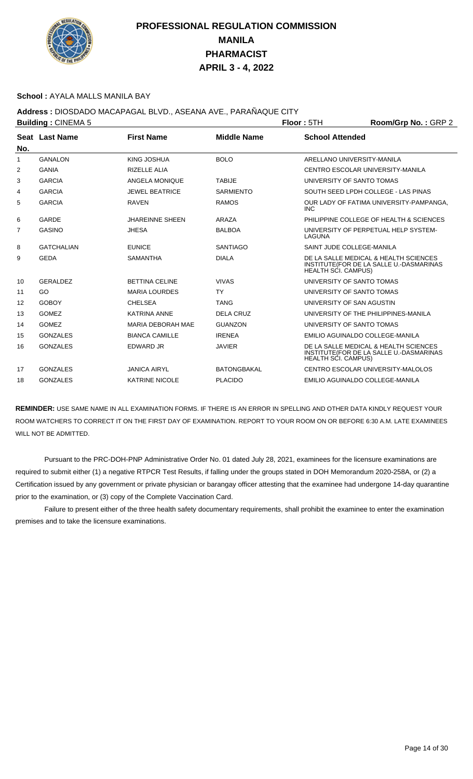

#### **School :** AYALA MALLS MANILA BAY

## **Address :** DIOSDADO MACAPAGAL BLVD., ASEANA AVE., PARAÑAQUE CITY

| <b>Building: CINEMA 5</b> |                   |                          | Floor: 5TH         | Room/Grp No.: GRP 2        |                                                                                  |
|---------------------------|-------------------|--------------------------|--------------------|----------------------------|----------------------------------------------------------------------------------|
| No.                       | Seat Last Name    | <b>First Name</b>        | <b>Middle Name</b> | <b>School Attended</b>     |                                                                                  |
| 1                         | <b>GANALON</b>    | KING JOSHUA              | <b>BOLO</b>        |                            | ARELLANO UNIVERSITY-MANILA                                                       |
| 2                         | <b>GANIA</b>      | <b>RIZELLE ALIA</b>      |                    |                            | CENTRO ESCOLAR UNIVERSITY-MANILA                                                 |
| 3                         | <b>GARCIA</b>     | ANGELA MONIQUE           | <b>TABIJE</b>      |                            | UNIVERSITY OF SANTO TOMAS                                                        |
| 4                         | <b>GARCIA</b>     | <b>JEWEL BEATRICE</b>    | <b>SARMIENTO</b>   |                            | SOUTH SEED LPDH COLLEGE - LAS PINAS                                              |
| 5                         | <b>GARCIA</b>     | <b>RAVEN</b>             | <b>RAMOS</b>       | <b>INC</b>                 | OUR LADY OF FATIMA UNIVERSITY-PAMPANGA.                                          |
| 6                         | <b>GARDE</b>      | <b>JHAREINNE SHEEN</b>   | ARAZA              |                            | PHILIPPINE COLLEGE OF HEALTH & SCIENCES                                          |
| $\overline{7}$            | <b>GASINO</b>     | <b>JHESA</b>             | <b>BALBOA</b>      | LAGUNA                     | UNIVERSITY OF PERPETUAL HELP SYSTEM-                                             |
| 8                         | <b>GATCHALIAN</b> | <b>EUNICE</b>            | <b>SANTIAGO</b>    |                            | SAINT JUDE COLLEGE-MANILA                                                        |
| 9                         | <b>GEDA</b>       | <b>SAMANTHA</b>          | <b>DIALA</b>       | <b>HEALTH SCI. CAMPUS)</b> | DE LA SALLE MEDICAL & HEALTH SCIENCES<br>INSTITUTE(FOR DE LA SALLE U.-DASMARINAS |
| 10                        | <b>GERALDEZ</b>   | <b>BETTINA CELINE</b>    | <b>VIVAS</b>       |                            | UNIVERSITY OF SANTO TOMAS                                                        |
| 11                        | GO                | <b>MARIA LOURDES</b>     | <b>TY</b>          |                            | UNIVERSITY OF SANTO TOMAS                                                        |
| 12                        | <b>GOBOY</b>      | <b>CHELSEA</b>           | <b>TANG</b>        | UNIVERSITY OF SAN AGUSTIN  |                                                                                  |
| 13                        | <b>GOMEZ</b>      | <b>KATRINA ANNE</b>      | <b>DELA CRUZ</b>   |                            | UNIVERSITY OF THE PHILIPPINES-MANILA                                             |
| 14                        | <b>GOMEZ</b>      | <b>MARIA DEBORAH MAE</b> | <b>GUANZON</b>     |                            | UNIVERSITY OF SANTO TOMAS                                                        |
| 15                        | <b>GONZALES</b>   | <b>BIANCA CAMILLE</b>    | <b>IRENEA</b>      |                            | EMILIO AGUINALDO COLLEGE-MANILA                                                  |
| 16                        | <b>GONZALES</b>   | EDWARD JR                | <b>JAVIER</b>      | <b>HEALTH SCI. CAMPUS)</b> | DE LA SALLE MEDICAL & HEALTH SCIENCES<br>INSTITUTE(FOR DE LA SALLE U.-DASMARINAS |
| 17                        | <b>GONZALES</b>   | <b>JANICA AIRYL</b>      | <b>BATONGBAKAL</b> |                            | CENTRO ESCOLAR UNIVERSITY-MALOLOS                                                |
| 18                        | <b>GONZALES</b>   | <b>KATRINE NICOLE</b>    | <b>PLACIDO</b>     |                            | EMILIO AGUINALDO COLLEGE-MANILA                                                  |
|                           |                   |                          |                    |                            |                                                                                  |

**REMINDER:** USE SAME NAME IN ALL EXAMINATION FORMS. IF THERE IS AN ERROR IN SPELLING AND OTHER DATA KINDLY REQUEST YOUR ROOM WATCHERS TO CORRECT IT ON THE FIRST DAY OF EXAMINATION. REPORT TO YOUR ROOM ON OR BEFORE 6:30 A.M. LATE EXAMINEES WILL NOT BE ADMITTED.

 Pursuant to the PRC-DOH-PNP Administrative Order No. 01 dated July 28, 2021, examinees for the licensure examinations are required to submit either (1) a negative RTPCR Test Results, if falling under the groups stated in DOH Memorandum 2020-258A, or (2) a Certification issued by any government or private physician or barangay officer attesting that the examinee had undergone 14-day quarantine prior to the examination, or (3) copy of the Complete Vaccination Card.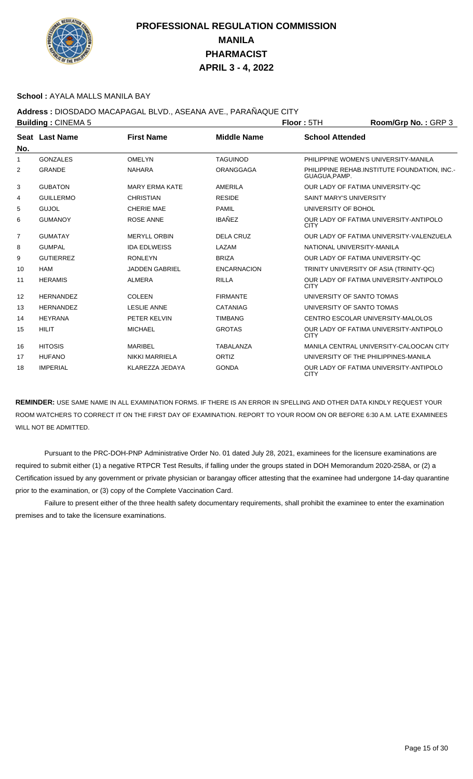

### **School :** AYALA MALLS MANILA BAY

## **Address :** DIOSDADO MACAPAGAL BLVD., ASEANA AVE., PARAÑAQUE CITY

|             | <b>Building: CINEMA 5</b> |                       |                    | <b>Floor: 5TH</b>              | Room/Grp No.: GRP 3                          |
|-------------|---------------------------|-----------------------|--------------------|--------------------------------|----------------------------------------------|
|             | Seat Last Name            | <b>First Name</b>     | <b>Middle Name</b> | <b>School Attended</b>         |                                              |
| No.         |                           |                       |                    |                                |                                              |
| $\mathbf 1$ | <b>GONZALES</b>           | <b>OMELYN</b>         | <b>TAGUINOD</b>    |                                | PHILIPPINE WOMEN'S UNIVERSITY-MANILA         |
| 2           | <b>GRANDE</b>             | <b>NAHARA</b>         | <b>ORANGGAGA</b>   | GUAGUA, PAMP.                  | PHILIPPINE REHAB.INSTITUTE FOUNDATION, INC.- |
| 3           | <b>GUBATON</b>            | <b>MARY ERMA KATE</b> | <b>AMERILA</b>     |                                | OUR LADY OF FATIMA UNIVERSITY-QC             |
| 4           | <b>GUILLERMO</b>          | <b>CHRISTIAN</b>      | <b>RESIDE</b>      | <b>SAINT MARY'S UNIVERSITY</b> |                                              |
| 5           | <b>GUJOL</b>              | <b>CHERIE MAE</b>     | <b>PAMIL</b>       | UNIVERSITY OF BOHOL            |                                              |
| 6           | <b>GUMANOY</b>            | <b>ROSE ANNE</b>      | <b>IBAÑEZ</b>      | <b>CITY</b>                    | OUR LADY OF FATIMA UNIVERSITY-ANTIPOLO       |
| 7           | <b>GUMATAY</b>            | <b>MERYLL ORBIN</b>   | DELA CRUZ          |                                | OUR LADY OF FATIMA UNIVERSITY-VALENZUELA     |
| 8           | <b>GUMPAL</b>             | <b>IDA EDLWEISS</b>   | LAZAM              |                                | NATIONAL UNIVERSITY-MANILA                   |
| 9           | <b>GUTIERREZ</b>          | <b>RONLEYN</b>        | <b>BRIZA</b>       |                                | OUR LADY OF FATIMA UNIVERSITY-OC             |
| 10          | <b>HAM</b>                | <b>JADDEN GABRIEL</b> | <b>ENCARNACION</b> |                                | TRINITY UNIVERSITY OF ASIA (TRINITY-QC)      |
| 11          | <b>HERAMIS</b>            | <b>ALMERA</b>         | <b>RILLA</b>       | <b>CITY</b>                    | OUR LADY OF FATIMA UNIVERSITY-ANTIPOLO       |
| 12          | <b>HERNANDEZ</b>          | <b>COLEEN</b>         | <b>FIRMANTE</b>    |                                | UNIVERSITY OF SANTO TOMAS                    |
| 13          | <b>HERNANDEZ</b>          | <b>LESLIE ANNE</b>    | <b>CATANIAG</b>    | UNIVERSITY OF SANTO TOMAS      |                                              |
| 14          | <b>HEYRANA</b>            | PETER KELVIN          | <b>TIMBANG</b>     |                                | CENTRO ESCOLAR UNIVERSITY-MALOLOS            |
| 15          | <b>HILIT</b>              | <b>MICHAEL</b>        | <b>GROTAS</b>      | <b>CITY</b>                    | OUR LADY OF FATIMA UNIVERSITY-ANTIPOLO       |
| 16          | <b>HITOSIS</b>            | <b>MARIBEL</b>        | <b>TABALANZA</b>   |                                | MANILA CENTRAL UNIVERSITY-CALOOCAN CITY      |
| 17          | <b>HUFANO</b>             | <b>NIKKI MARRIELA</b> | ORTIZ              |                                | UNIVERSITY OF THE PHILIPPINES-MANILA         |
| 18          | <b>IMPERIAL</b>           | KLAREZZA JEDAYA       | <b>GONDA</b>       | <b>CITY</b>                    | OUR LADY OF FATIMA UNIVERSITY-ANTIPOLO       |

**REMINDER:** USE SAME NAME IN ALL EXAMINATION FORMS. IF THERE IS AN ERROR IN SPELLING AND OTHER DATA KINDLY REQUEST YOUR ROOM WATCHERS TO CORRECT IT ON THE FIRST DAY OF EXAMINATION. REPORT TO YOUR ROOM ON OR BEFORE 6:30 A.M. LATE EXAMINEES WILL NOT BE ADMITTED.

 Pursuant to the PRC-DOH-PNP Administrative Order No. 01 dated July 28, 2021, examinees for the licensure examinations are required to submit either (1) a negative RTPCR Test Results, if falling under the groups stated in DOH Memorandum 2020-258A, or (2) a Certification issued by any government or private physician or barangay officer attesting that the examinee had undergone 14-day quarantine prior to the examination, or (3) copy of the Complete Vaccination Card.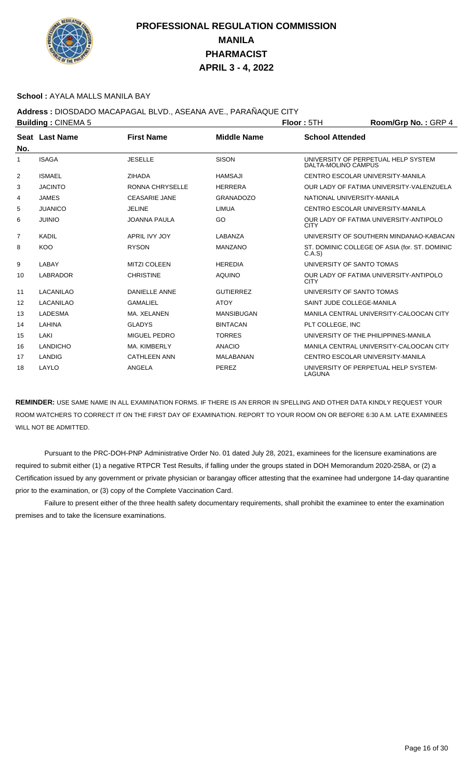

### **School :** AYALA MALLS MANILA BAY

## **Address :** DIOSDADO MACAPAGAL BLVD., ASEANA AVE., PARAÑAQUE CITY

|     | <b>Building: CINEMA 5</b> |                      |                    | <b>Floor: 5TH</b>          | Room/Grp No.: GRP 4                           |
|-----|---------------------------|----------------------|--------------------|----------------------------|-----------------------------------------------|
|     | Seat Last Name            | <b>First Name</b>    | <b>Middle Name</b> | <b>School Attended</b>     |                                               |
| No. |                           |                      |                    |                            |                                               |
| -1  | <b>ISAGA</b>              | <b>JESELLE</b>       | <b>SISON</b>       | DALTA-MOLINO CAMPUS        | UNIVERSITY OF PERPETUAL HELP SYSTEM           |
| 2   | <b>ISMAEL</b>             | <b>ZIHADA</b>        | <b>HAMSAJI</b>     |                            | CENTRO ESCOLAR UNIVERSITY-MANILA              |
| 3   | <b>JACINTO</b>            | RONNA CHRYSELLE      | <b>HERRERA</b>     |                            | OUR LADY OF FATIMA UNIVERSITY-VALENZUELA      |
| 4   | <b>JAMES</b>              | <b>CEASARIE JANE</b> | <b>GRANADOZO</b>   | NATIONAL UNIVERSITY-MANILA |                                               |
| 5   | <b>JUANICO</b>            | <b>JELINE</b>        | <b>LIMUA</b>       |                            | CENTRO ESCOLAR UNIVERSITY-MANILA              |
| 6   | <b>JUINIO</b>             | <b>JOANNA PAULA</b>  | GO                 | <b>CITY</b>                | OUR LADY OF FATIMA UNIVERSITY-ANTIPOLO        |
| 7   | <b>KADIL</b>              | APRIL IVY JOY        | LABANZA            |                            | UNIVERSITY OF SOUTHERN MINDANAO-KABACAN       |
| 8   | <b>KOO</b>                | <b>RYSON</b>         | <b>MANZANO</b>     | C.A.S                      | ST. DOMINIC COLLEGE OF ASIA (for. ST. DOMINIC |
| 9   | LABAY                     | <b>MITZI COLEEN</b>  | <b>HEREDIA</b>     | UNIVERSITY OF SANTO TOMAS  |                                               |
| 10  | <b>LABRADOR</b>           | <b>CHRISTINE</b>     | <b>AQUINO</b>      | <b>CITY</b>                | OUR LADY OF FATIMA UNIVERSITY-ANTIPOLO        |
| 11  | LACANILAO                 | DANIELLE ANNE        | <b>GUTIERREZ</b>   | UNIVERSITY OF SANTO TOMAS  |                                               |
| 12  | LACANILAO                 | <b>GAMALIEL</b>      | <b>ATOY</b>        | SAINT JUDE COLLEGE-MANILA  |                                               |
| 13  | <b>LADESMA</b>            | MA. XELANEN          | <b>MANSIBUGAN</b>  |                            | MANILA CENTRAL UNIVERSITY-CALOOCAN CITY       |
| 14  | LAHINA                    | <b>GLADYS</b>        | <b>BINTACAN</b>    | PLT COLLEGE, INC           |                                               |
| 15  | LAKI                      | MIGUEL PEDRO         | <b>TORRES</b>      |                            | UNIVERSITY OF THE PHILIPPINES-MANILA          |
| 16  | <b>LANDICHO</b>           | MA. KIMBERLY         | <b>ANACIO</b>      |                            | MANILA CENTRAL UNIVERSITY-CALOOCAN CITY       |
| 17  | <b>LANDIG</b>             | <b>CATHLEEN ANN</b>  | MALABANAN          |                            | CENTRO ESCOLAR UNIVERSITY-MANILA              |
| 18  | LAYLO                     | ANGELA               | PEREZ              | LAGUNA                     | UNIVERSITY OF PERPETUAL HELP SYSTEM-          |

**REMINDER:** USE SAME NAME IN ALL EXAMINATION FORMS. IF THERE IS AN ERROR IN SPELLING AND OTHER DATA KINDLY REQUEST YOUR ROOM WATCHERS TO CORRECT IT ON THE FIRST DAY OF EXAMINATION. REPORT TO YOUR ROOM ON OR BEFORE 6:30 A.M. LATE EXAMINEES WILL NOT BE ADMITTED.

 Pursuant to the PRC-DOH-PNP Administrative Order No. 01 dated July 28, 2021, examinees for the licensure examinations are required to submit either (1) a negative RTPCR Test Results, if falling under the groups stated in DOH Memorandum 2020-258A, or (2) a Certification issued by any government or private physician or barangay officer attesting that the examinee had undergone 14-day quarantine prior to the examination, or (3) copy of the Complete Vaccination Card.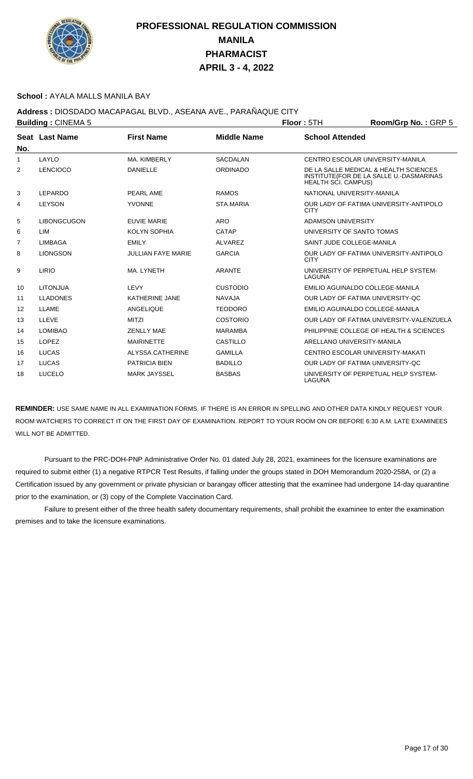

### **School :** AYALA MALLS MANILA BAY

## **Address :** DIOSDADO MACAPAGAL BLVD., ASEANA AVE., PARAÑAQUE CITY

|                | <b>Building: CINEMA 5</b> |                           |                    | Floor: 5TH                       | Room/Grp No.: GRP 5                                                              |
|----------------|---------------------------|---------------------------|--------------------|----------------------------------|----------------------------------------------------------------------------------|
|                | Seat Last Name            | <b>First Name</b>         | <b>Middle Name</b> | <b>School Attended</b>           |                                                                                  |
| No.            |                           |                           |                    |                                  |                                                                                  |
| 1              | LAYLO                     | MA. KIMBERLY              | <b>SACDALAN</b>    | CENTRO ESCOLAR UNIVERSITY-MANILA |                                                                                  |
| 2              | <b>LENCIOCO</b>           | <b>DANIELLE</b>           | <b>ORDINADO</b>    | <b>HEALTH SCI. CAMPUS)</b>       | DE LA SALLE MEDICAL & HEALTH SCIENCES<br>INSTITUTE(FOR DE LA SALLE U.-DASMARINAS |
| 3              | <b>LEPARDO</b>            | PEARL AME                 | <b>RAMOS</b>       | NATIONAL UNIVERSITY-MANILA       |                                                                                  |
| 4              | <b>LEYSON</b>             | <b>YVONNE</b>             | STA.MARIA          | <b>CITY</b>                      | OUR LADY OF FATIMA UNIVERSITY-ANTIPOLO                                           |
| 5              | <b>LIBONGCUGON</b>        | <b>EUVIE MARIE</b>        | <b>ARO</b>         | ADAMSON UNIVERSITY               |                                                                                  |
| 6              | LIM                       | <b>KOLYN SOPHIA</b>       | CATAP              | UNIVERSITY OF SANTO TOMAS        |                                                                                  |
| $\overline{7}$ | <b>LIMBAGA</b>            | <b>EMILY</b>              | <b>ALVAREZ</b>     | SAINT JUDE COLLEGE-MANILA        |                                                                                  |
| 8              | <b>LIONGSON</b>           | <b>JULLIAN FAYE MARIE</b> | <b>GARCIA</b>      | <b>CITY</b>                      | OUR LADY OF FATIMA UNIVERSITY-ANTIPOLO                                           |
| 9              | LIRIO                     | MA. LYNETH                | <b>ARANTE</b>      | LAGUNA                           | UNIVERSITY OF PERPETUAL HELP SYSTEM-                                             |
| 10             | <b>LITONJUA</b>           | LEVY                      | <b>CUSTODIO</b>    | EMILIO AGUINALDO COLLEGE-MANILA  |                                                                                  |
| 11             | <b>LLADONES</b>           | <b>KATHERINE JANE</b>     | <b>NAVAJA</b>      | OUR LADY OF FATIMA UNIVERSITY-OC |                                                                                  |
| 12             | LLAME                     | <b>ANGELIQUE</b>          | <b>TEODORO</b>     | EMILIO AGUINALDO COLLEGE-MANILA  |                                                                                  |
| 13             | LLEVE                     | <b>MITZI</b>              | <b>COSTORIO</b>    |                                  | OUR LADY OF FATIMA UNIVERSITY-VALENZUELA                                         |
| 14             | <b>LOMIBAO</b>            | <b>ZENLLY MAE</b>         | <b>MARAMBA</b>     |                                  | PHILIPPINE COLLEGE OF HEALTH & SCIENCES                                          |
| 15             | <b>LOPEZ</b>              | <b>MAIRINETTE</b>         | <b>CASTILLO</b>    | ARELLANO UNIVERSITY-MANILA       |                                                                                  |
| 16             | <b>LUCAS</b>              | <b>ALYSSA CATHERINE</b>   | <b>GAMILLA</b>     | CENTRO ESCOLAR UNIVERSITY-MAKATI |                                                                                  |
| 17             | <b>LUCAS</b>              | <b>PATRICIA BIEN</b>      | <b>BADILLO</b>     | OUR LADY OF FATIMA UNIVERSITY-QC |                                                                                  |
| 18             | <b>LUCELO</b>             | <b>MARK JAYSSEL</b>       | <b>BASBAS</b>      | LAGUNA                           | UNIVERSITY OF PERPETUAL HELP SYSTEM-                                             |

**REMINDER:** USE SAME NAME IN ALL EXAMINATION FORMS. IF THERE IS AN ERROR IN SPELLING AND OTHER DATA KINDLY REQUEST YOUR ROOM WATCHERS TO CORRECT IT ON THE FIRST DAY OF EXAMINATION. REPORT TO YOUR ROOM ON OR BEFORE 6:30 A.M. LATE EXAMINEES WILL NOT BE ADMITTED.

 Pursuant to the PRC-DOH-PNP Administrative Order No. 01 dated July 28, 2021, examinees for the licensure examinations are required to submit either (1) a negative RTPCR Test Results, if falling under the groups stated in DOH Memorandum 2020-258A, or (2) a Certification issued by any government or private physician or barangay officer attesting that the examinee had undergone 14-day quarantine prior to the examination, or (3) copy of the Complete Vaccination Card.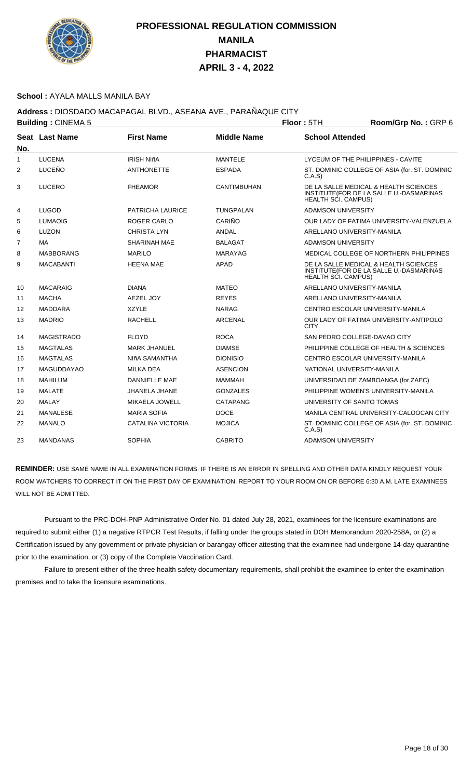

### **School :** AYALA MALLS MANILA BAY

## **Address :** DIOSDADO MACAPAGAL BLVD., ASEANA AVE., PARAÑAQUE CITY

|                | <b>Building: CINEMA 5</b> |                     |                    | Room/Grp No.: GRP 6<br>Floor: 5TH |                                                                                  |  |
|----------------|---------------------------|---------------------|--------------------|-----------------------------------|----------------------------------------------------------------------------------|--|
| No.            | <b>Seat Last Name</b>     | <b>First Name</b>   | <b>Middle Name</b> | <b>School Attended</b>            |                                                                                  |  |
| $\mathbf{1}$   | <b>LUCENA</b>             | <b>IRISH NIñA</b>   | <b>MANTELE</b>     |                                   | LYCEUM OF THE PHILIPPINES - CAVITE                                               |  |
| 2              | LUCEÑO                    | <b>ANTHONETTE</b>   | <b>ESPADA</b>      | C.A.S                             | ST. DOMINIC COLLEGE OF ASIA (for. ST. DOMINIC                                    |  |
| 3              | <b>LUCERO</b>             | <b>FHEAMOR</b>      | <b>CANTIMBUHAN</b> | <b>HEALTH SCI. CAMPUS)</b>        | DE LA SALLE MEDICAL & HEALTH SCIENCES<br>INSTITUTE(FOR DE LA SALLE U.-DASMARINAS |  |
| 4              | <b>LUGOD</b>              | PATRICHA LAURICE    | <b>TUNGPALAN</b>   | <b>ADAMSON UNIVERSITY</b>         |                                                                                  |  |
| 5              | <b>LUMAOIG</b>            | <b>ROGER CARLO</b>  | CARIÑO             |                                   | OUR LADY OF FATIMA UNIVERSITY-VALENZUELA                                         |  |
| 6              | LUZON                     | <b>CHRISTA LYN</b>  | ANDAL              |                                   | ARELLANO UNIVERSITY-MANILA                                                       |  |
| $\overline{7}$ | MA                        | <b>SHARINAH MAE</b> | <b>BALAGAT</b>     | <b>ADAMSON UNIVERSITY</b>         |                                                                                  |  |
| 8              | <b>MABBORANG</b>          | <b>MARILO</b>       | MARAYAG            |                                   | MEDICAL COLLEGE OF NORTHERN PHILIPPINES                                          |  |
| 9              | <b>MACABANTI</b>          | <b>HEENA MAE</b>    | <b>APAD</b>        | <b>HEALTH SCI. CAMPUS)</b>        | DE LA SALLE MEDICAL & HEALTH SCIENCES<br>INSTITUTE(FOR DE LA SALLE U.-DASMARINAS |  |
| 10             | <b>MACARAIG</b>           | <b>DIANA</b>        | <b>MATEO</b>       |                                   | ARELLANO UNIVERSITY-MANILA                                                       |  |
| 11             | <b>MACHA</b>              | AEZEL JOY           | <b>REYES</b>       |                                   | ARELLANO UNIVERSITY-MANILA                                                       |  |
| 12             | <b>MADDARA</b>            | XZYLE               | <b>NARAG</b>       |                                   | CENTRO ESCOLAR UNIVERSITY-MANILA                                                 |  |
| 13             | <b>MADRIO</b>             | <b>RACHELL</b>      | <b>ARCENAL</b>     | <b>CITY</b>                       | OUR LADY OF FATIMA UNIVERSITY-ANTIPOLO                                           |  |
| 14             | <b>MAGISTRADO</b>         | <b>FLOYD</b>        | <b>ROCA</b>        |                                   | SAN PEDRO COLLEGE-DAVAO CITY                                                     |  |
| 15             | <b>MAGTALAS</b>           | <b>MARK JHANUEL</b> | <b>DIAMSE</b>      |                                   | PHILIPPINE COLLEGE OF HEALTH & SCIENCES                                          |  |
| 16             | <b>MAGTALAS</b>           | NIñA SAMANTHA       | <b>DIONISIO</b>    |                                   | CENTRO ESCOLAR UNIVERSITY-MANILA                                                 |  |
| 17             | <b>MAGUDDAYAO</b>         | <b>MILKA DEA</b>    | <b>ASENCION</b>    |                                   | NATIONAL UNIVERSITY-MANILA                                                       |  |
| 18             | <b>MAHILUM</b>            | DANNIELLE MAE       | <b>MAMMAH</b>      |                                   | UNIVERSIDAD DE ZAMBOANGA (for.ZAEC)                                              |  |
| 19             | <b>MALATE</b>             | JHANELA JHANE       | <b>GONZALES</b>    |                                   | PHILIPPINE WOMEN'S UNIVERSITY-MANILA                                             |  |
| 20             | MALAY                     | MIKAELA JOWELL      | CATAPANG           |                                   | UNIVERSITY OF SANTO TOMAS                                                        |  |
| 21             | <b>MANALESE</b>           | <b>MARIA SOFIA</b>  | <b>DOCE</b>        |                                   | MANILA CENTRAL UNIVERSITY-CALOOCAN CITY                                          |  |
| 22             | <b>MANALO</b>             | CATALINA VICTORIA   | <b>MOJICA</b>      | C.A.S                             | ST. DOMINIC COLLEGE OF ASIA (for. ST. DOMINIC                                    |  |
| 23             | <b>MANDANAS</b>           | <b>SOPHIA</b>       | <b>CABRITO</b>     | <b>ADAMSON UNIVERSITY</b>         |                                                                                  |  |

**REMINDER:** USE SAME NAME IN ALL EXAMINATION FORMS. IF THERE IS AN ERROR IN SPELLING AND OTHER DATA KINDLY REQUEST YOUR ROOM WATCHERS TO CORRECT IT ON THE FIRST DAY OF EXAMINATION. REPORT TO YOUR ROOM ON OR BEFORE 6:30 A.M. LATE EXAMINEES WILL NOT BE ADMITTED.

 Pursuant to the PRC-DOH-PNP Administrative Order No. 01 dated July 28, 2021, examinees for the licensure examinations are required to submit either (1) a negative RTPCR Test Results, if falling under the groups stated in DOH Memorandum 2020-258A, or (2) a Certification issued by any government or private physician or barangay officer attesting that the examinee had undergone 14-day quarantine prior to the examination, or (3) copy of the Complete Vaccination Card.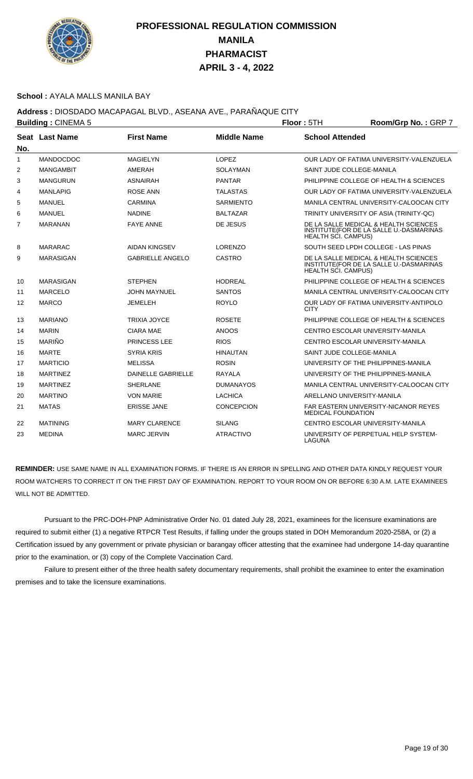

### **School :** AYALA MALLS MANILA BAY

## **Address :** DIOSDADO MACAPAGAL BLVD., ASEANA AVE., PARAÑAQUE CITY

|                   | <b>Building: CINEMA 5</b> |                           |                    | Floor: 5TH                 | Room/Grp No.: GRP 7                                                              |
|-------------------|---------------------------|---------------------------|--------------------|----------------------------|----------------------------------------------------------------------------------|
| No.               | Seat Last Name            | <b>First Name</b>         | <b>Middle Name</b> | <b>School Attended</b>     |                                                                                  |
| 1                 | <b>MANDOCDOC</b>          | MAGIELYN                  | LOPEZ              |                            | OUR LADY OF FATIMA UNIVERSITY-VALENZUELA                                         |
| 2                 | <b>MANGAMBIT</b>          | AMERAH                    | SOLAYMAN           | SAINT JUDE COLLEGE-MANILA  |                                                                                  |
| 3                 | <b>MANGURUN</b>           | <b>ASNAIRAH</b>           | <b>PANTAR</b>      |                            | PHILIPPINE COLLEGE OF HEALTH & SCIENCES                                          |
| 4                 | MANLAPIG                  | ROSE ANN                  | TALASTAS           |                            | OUR LADY OF FATIMA UNIVERSITY-VALENZUELA                                         |
| 5                 | <b>MANUEL</b>             | <b>CARMINA</b>            | <b>SARMIENTO</b>   |                            | MANILA CENTRAL UNIVERSITY-CALOOCAN CITY                                          |
| 6                 | <b>MANUEL</b>             | <b>NADINE</b>             | <b>BALTAZAR</b>    |                            | TRINITY UNIVERSITY OF ASIA (TRINITY-QC)                                          |
| $\overline{7}$    | <b>MARANAN</b>            | <b>FAYE ANNE</b>          | DE JESUS           | HEALTH SCI. CAMPUS)        | DE LA SALLE MEDICAL & HEALTH SCIENCES<br>INSTITUTE(FOR DE LA SALLE U.-DASMARINAS |
| 8                 | <b>MARARAC</b>            | <b>AIDAN KINGSEV</b>      | <b>LORENZO</b>     |                            | SOUTH SEED LPDH COLLEGE - LAS PINAS                                              |
| 9                 | <b>MARASIGAN</b>          | <b>GABRIELLE ANGELO</b>   | <b>CASTRO</b>      | <b>HEALTH SCI. CAMPUS)</b> | DE LA SALLE MEDICAL & HEALTH SCIENCES<br>INSTITUTE(FOR DE LA SALLE U.-DASMARINAS |
| 10                | MARASIGAN                 | <b>STEPHEN</b>            | <b>HODREAL</b>     |                            | PHILIPPINE COLLEGE OF HEALTH & SCIENCES                                          |
| 11                | <b>MARCELO</b>            | <b>JOHN MAYNUEL</b>       | <b>SANTOS</b>      |                            | MANILA CENTRAL UNIVERSITY-CALOOCAN CITY                                          |
| $12 \overline{ }$ | <b>MARCO</b>              | JEMELEH                   | <b>ROYLO</b>       | <b>CITY</b>                | OUR LADY OF FATIMA UNIVERSITY-ANTIPOLO                                           |
| 13                | <b>MARIANO</b>            | <b>TRIXIA JOYCE</b>       | <b>ROSETE</b>      |                            | PHILIPPINE COLLEGE OF HEALTH & SCIENCES                                          |
| 14                | <b>MARIN</b>              | <b>CIARA MAE</b>          | <b>ANOOS</b>       |                            | CENTRO ESCOLAR UNIVERSITY-MANILA                                                 |
| 15                | <b>MARIÑO</b>             | PRINCESS LEE              | <b>RIOS</b>        |                            | CENTRO ESCOLAR UNIVERSITY-MANILA                                                 |
| 16                | <b>MARTE</b>              | <b>SYRIA KRIS</b>         | <b>HINAUTAN</b>    | SAINT JUDE COLLEGE-MANILA  |                                                                                  |
| 17                | <b>MARTICIO</b>           | <b>MELISSA</b>            | <b>ROSIN</b>       |                            | UNIVERSITY OF THE PHILIPPINES-MANILA                                             |
| 18                | <b>MARTINEZ</b>           | <b>DAINELLE GABRIELLE</b> | <b>RAYALA</b>      |                            | UNIVERSITY OF THE PHILIPPINES-MANILA                                             |
| 19                | <b>MARTINEZ</b>           | <b>SHERLANE</b>           | <b>DUMANAYOS</b>   |                            | MANILA CENTRAL UNIVERSITY-CALOOCAN CITY                                          |
| 20                | <b>MARTINO</b>            | <b>VON MARIE</b>          | <b>LACHICA</b>     | ARELLANO UNIVERSITY-MANILA |                                                                                  |
| 21                | <b>MATAS</b>              | <b>ERISSE JANE</b>        | <b>CONCEPCION</b>  | <b>MEDICAL FOUNDATION</b>  | FAR EASTERN UNIVERSITY-NICANOR REYES                                             |
| 22                | <b>MATINING</b>           | <b>MARY CLARENCE</b>      | <b>SILANG</b>      |                            | CENTRO ESCOLAR UNIVERSITY-MANILA                                                 |
| 23                | <b>MEDINA</b>             | <b>MARC JERVIN</b>        | <b>ATRACTIVO</b>   | LAGUNA                     | UNIVERSITY OF PERPETUAL HELP SYSTEM-                                             |

**REMINDER:** USE SAME NAME IN ALL EXAMINATION FORMS. IF THERE IS AN ERROR IN SPELLING AND OTHER DATA KINDLY REQUEST YOUR ROOM WATCHERS TO CORRECT IT ON THE FIRST DAY OF EXAMINATION. REPORT TO YOUR ROOM ON OR BEFORE 6:30 A.M. LATE EXAMINEES WILL NOT BE ADMITTED.

 Pursuant to the PRC-DOH-PNP Administrative Order No. 01 dated July 28, 2021, examinees for the licensure examinations are required to submit either (1) a negative RTPCR Test Results, if falling under the groups stated in DOH Memorandum 2020-258A, or (2) a Certification issued by any government or private physician or barangay officer attesting that the examinee had undergone 14-day quarantine prior to the examination, or (3) copy of the Complete Vaccination Card.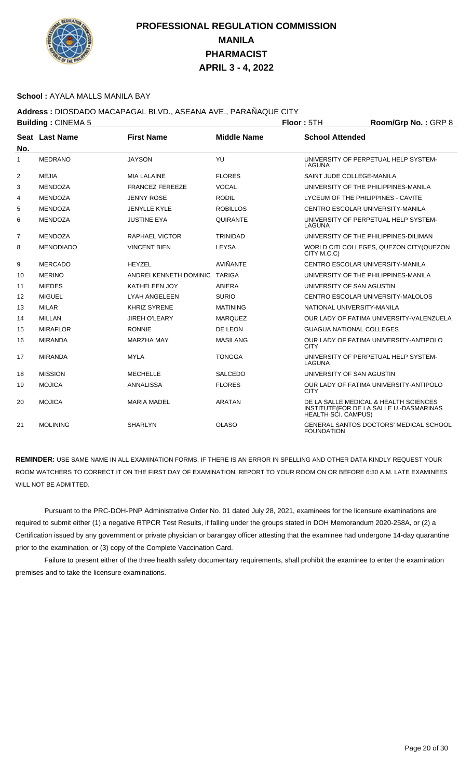

#### **School :** AYALA MALLS MANILA BAY

### **Address :** DIOSDADO MACAPAGAL BLVD., ASEANA AVE., PARAÑAQUE CITY

| <b>Building: CINEMA 5</b> |                  |                        | Floor: 5TH         | Room/Grp No.: GRP 8             |                                                                                  |
|---------------------------|------------------|------------------------|--------------------|---------------------------------|----------------------------------------------------------------------------------|
| No.                       | Seat Last Name   | <b>First Name</b>      | <b>Middle Name</b> | <b>School Attended</b>          |                                                                                  |
| $\mathbf{1}$              | <b>MEDRANO</b>   | <b>JAYSON</b>          | YU                 | LAGUNA                          | UNIVERSITY OF PERPETUAL HELP SYSTEM-                                             |
| 2                         | <b>MEJIA</b>     | <b>MIA LALAINE</b>     | <b>FLORES</b>      | SAINT JUDE COLLEGE-MANILA       |                                                                                  |
| 3                         | <b>MENDOZA</b>   | <b>FRANCEZ FEREEZE</b> | <b>VOCAL</b>       |                                 | UNIVERSITY OF THE PHILIPPINES-MANILA                                             |
| 4                         | <b>MENDOZA</b>   | <b>JENNY ROSE</b>      | <b>RODIL</b>       |                                 | LYCEUM OF THE PHILIPPINES - CAVITE                                               |
| 5                         | <b>MENDOZA</b>   | JENYLLE KYLE           | <b>ROBILLOS</b>    |                                 | CENTRO ESCOLAR UNIVERSITY-MANILA                                                 |
| 6                         | <b>MENDOZA</b>   | <b>JUSTINE EYA</b>     | QUIRANTE           | LAGUNA                          | UNIVERSITY OF PERPETUAL HELP SYSTEM-                                             |
| 7                         | <b>MENDOZA</b>   | <b>RAPHAEL VICTOR</b>  | <b>TRINIDAD</b>    |                                 | UNIVERSITY OF THE PHILIPPINES-DILIMAN                                            |
| 8                         | <b>MENODIADO</b> | <b>VINCENT BIEN</b>    | <b>LEYSA</b>       | CITY M.C.C)                     | WORLD CITI COLLEGES, QUEZON CITY (QUEZON                                         |
| 9                         | <b>MERCADO</b>   | <b>HEYZEL</b>          | AVIÑANTE           |                                 | CENTRO ESCOLAR UNIVERSITY-MANILA                                                 |
| 10                        | <b>MERINO</b>    | ANDREI KENNETH DOMINIC | <b>TARIGA</b>      |                                 | UNIVERSITY OF THE PHILIPPINES-MANILA                                             |
| 11                        | <b>MIEDES</b>    | <b>KATHELEEN JOY</b>   | <b>ABIERA</b>      | UNIVERSITY OF SAN AGUSTIN       |                                                                                  |
| 12                        | <b>MIGUEL</b>    | LYAH ANGELEEN          | <b>SURIO</b>       |                                 | CENTRO ESCOLAR UNIVERSITY-MALOLOS                                                |
| 13                        | <b>MILAR</b>     | <b>KHRIZ SYRENE</b>    | <b>MATINING</b>    | NATIONAL UNIVERSITY-MANILA      |                                                                                  |
| 14                        | MILLAN           | <b>JIREH O'LEARY</b>   | <b>MARQUEZ</b>     |                                 | OUR LADY OF FATIMA UNIVERSITY-VALENZUELA                                         |
| 15                        | <b>MIRAFLOR</b>  | <b>RONNIE</b>          | DE LEON            | <b>GUAGUA NATIONAL COLLEGES</b> |                                                                                  |
| 16                        | <b>MIRANDA</b>   | <b>MARZHA MAY</b>      | <b>MASILANG</b>    | <b>CITY</b>                     | OUR LADY OF FATIMA UNIVERSITY-ANTIPOLO                                           |
| 17                        | <b>MIRANDA</b>   | <b>MYLA</b>            | <b>TONGGA</b>      | LAGUNA                          | UNIVERSITY OF PERPETUAL HELP SYSTEM-                                             |
| 18                        | <b>MISSION</b>   | <b>MECHELLE</b>        | <b>SALCEDO</b>     | UNIVERSITY OF SAN AGUSTIN       |                                                                                  |
| 19                        | <b>MOJICA</b>    | <b>ANNALISSA</b>       | <b>FLORES</b>      | <b>CITY</b>                     | OUR LADY OF FATIMA UNIVERSITY-ANTIPOLO                                           |
| 20                        | <b>MOJICA</b>    | <b>MARIA MADEL</b>     | <b>ARATAN</b>      | <b>HEALTH SCI. CAMPUS)</b>      | DE LA SALLE MEDICAL & HEALTH SCIENCES<br>INSTITUTE(FOR DE LA SALLE U.-DASMARINAS |
| 21                        | <b>MOLINING</b>  | <b>SHARLYN</b>         | <b>OLASO</b>       | <b>FOUNDATION</b>               | <b>GENERAL SANTOS DOCTORS' MEDICAL SCHOOL</b>                                    |

**REMINDER:** USE SAME NAME IN ALL EXAMINATION FORMS. IF THERE IS AN ERROR IN SPELLING AND OTHER DATA KINDLY REQUEST YOUR ROOM WATCHERS TO CORRECT IT ON THE FIRST DAY OF EXAMINATION. REPORT TO YOUR ROOM ON OR BEFORE 6:30 A.M. LATE EXAMINEES WILL NOT BE ADMITTED.

 Pursuant to the PRC-DOH-PNP Administrative Order No. 01 dated July 28, 2021, examinees for the licensure examinations are required to submit either (1) a negative RTPCR Test Results, if falling under the groups stated in DOH Memorandum 2020-258A, or (2) a Certification issued by any government or private physician or barangay officer attesting that the examinee had undergone 14-day quarantine prior to the examination, or (3) copy of the Complete Vaccination Card.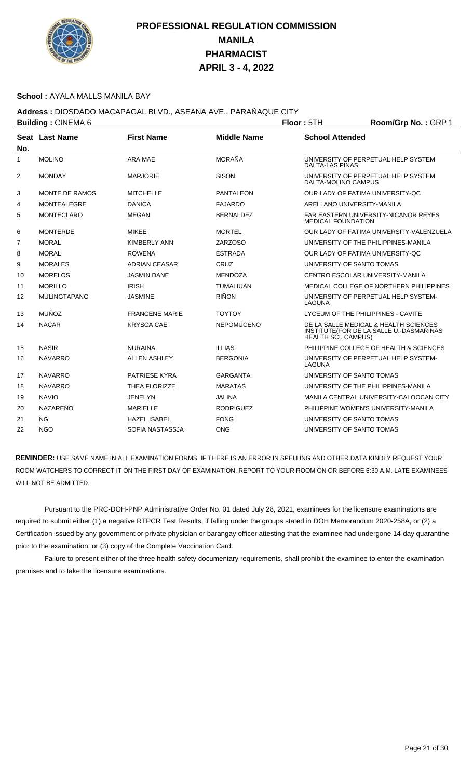

#### **School :** AYALA MALLS MANILA BAY

## **Address :** DIOSDADO MACAPAGAL BLVD., ASEANA AVE., PARAÑAQUE CITY

| <b>Building: CINEMA 6</b> |                     |                       |                    | Floor: 5TH                         | Room/Grp No.: GRP 1                                                              |
|---------------------------|---------------------|-----------------------|--------------------|------------------------------------|----------------------------------------------------------------------------------|
| No.                       | Seat Last Name      | <b>First Name</b>     | <b>Middle Name</b> | <b>School Attended</b>             |                                                                                  |
| $\mathbf{1}$              | <b>MOLINO</b>       | <b>ARA MAE</b>        | <b>MORAÑA</b>      | <b>DALTA-LAS PINAS</b>             | UNIVERSITY OF PERPETUAL HELP SYSTEM                                              |
| 2                         | <b>MONDAY</b>       | <b>MARJORIE</b>       | <b>SISON</b>       | DALTA-MOLINO CAMPUS                | UNIVERSITY OF PERPETUAL HELP SYSTEM                                              |
| 3                         | MONTE DE RAMOS      | <b>MITCHELLE</b>      | <b>PANTALEON</b>   | OUR LADY OF FATIMA UNIVERSITY-QC   |                                                                                  |
| 4                         | <b>MONTEALEGRE</b>  | <b>DANICA</b>         | <b>FAJARDO</b>     | ARELLANO UNIVERSITY-MANILA         |                                                                                  |
| 5                         | <b>MONTECLARO</b>   | <b>MEGAN</b>          | <b>BERNALDEZ</b>   | <b>MEDICAL FOUNDATION</b>          | FAR EASTERN UNIVERSITY-NICANOR REYES                                             |
| 6                         | <b>MONTERDE</b>     | <b>MIKEE</b>          | <b>MORTEL</b>      |                                    | OUR LADY OF FATIMA UNIVERSITY-VALENZUELA                                         |
| $\overline{7}$            | <b>MORAL</b>        | <b>KIMBERLY ANN</b>   | ZARZOSO            |                                    | UNIVERSITY OF THE PHILIPPINES-MANILA                                             |
| 8                         | <b>MORAL</b>        | <b>ROWENA</b>         | <b>ESTRADA</b>     | OUR LADY OF FATIMA UNIVERSITY-QC   |                                                                                  |
| 9                         | <b>MORALES</b>      | ADRIAN CEASAR         | CRUZ               | UNIVERSITY OF SANTO TOMAS          |                                                                                  |
| 10                        | <b>MORELOS</b>      | <b>JASMIN DANE</b>    | <b>MENDOZA</b>     | CENTRO ESCOLAR UNIVERSITY-MANILA   |                                                                                  |
| 11                        | <b>MORILLO</b>      | <b>IRISH</b>          | <b>TUMALIUAN</b>   |                                    | MEDICAL COLLEGE OF NORTHERN PHILIPPINES                                          |
| $12 \overline{ }$         | <b>MULINGTAPANG</b> | <b>JASMINE</b>        | <b>RIÑON</b>       | LAGUNA                             | UNIVERSITY OF PERPETUAL HELP SYSTEM-                                             |
| 13                        | <b>MUÑOZ</b>        | <b>FRANCENE MARIE</b> | <b>TOYTOY</b>      | LYCEUM OF THE PHILIPPINES - CAVITE |                                                                                  |
| 14                        | <b>NACAR</b>        | <b>KRYSCA CAE</b>     | <b>NEPOMUCENO</b>  | <b>HEALTH SCI. CAMPUS)</b>         | DE LA SALLE MEDICAL & HEALTH SCIENCES<br>INSTITUTE(FOR DE LA SALLE U.-DASMARINAS |
| 15                        | <b>NASIR</b>        | <b>NURAINA</b>        | <b>ILLIAS</b>      |                                    | PHILIPPINE COLLEGE OF HEALTH & SCIENCES                                          |
| 16                        | <b>NAVARRO</b>      | <b>ALLEN ASHLEY</b>   | <b>BERGONIA</b>    | LAGUNA                             | UNIVERSITY OF PERPETUAL HELP SYSTEM-                                             |
| 17                        | <b>NAVARRO</b>      | PATRIESE KYRA         | <b>GARGANTA</b>    | UNIVERSITY OF SANTO TOMAS          |                                                                                  |
| 18                        | <b>NAVARRO</b>      | THEA FLORIZZE         | <b>MARATAS</b>     |                                    | UNIVERSITY OF THE PHILIPPINES-MANILA                                             |
| 19                        | <b>NAVIO</b>        | JENELYN               | JALINA             |                                    | MANILA CENTRAL UNIVERSITY-CALOOCAN CITY                                          |
| 20                        | <b>NAZARENO</b>     | <b>MARIELLE</b>       | <b>RODRIGUEZ</b>   |                                    | PHILIPPINE WOMEN'S UNIVERSITY-MANILA                                             |
| 21                        | <b>NG</b>           | <b>HAZEL ISABEL</b>   | <b>FONG</b>        | UNIVERSITY OF SANTO TOMAS          |                                                                                  |
| 22                        | <b>NGO</b>          | SOFIA NASTASSJA       | <b>ONG</b>         | UNIVERSITY OF SANTO TOMAS          |                                                                                  |
|                           |                     |                       |                    |                                    |                                                                                  |

**REMINDER:** USE SAME NAME IN ALL EXAMINATION FORMS. IF THERE IS AN ERROR IN SPELLING AND OTHER DATA KINDLY REQUEST YOUR ROOM WATCHERS TO CORRECT IT ON THE FIRST DAY OF EXAMINATION. REPORT TO YOUR ROOM ON OR BEFORE 6:30 A.M. LATE EXAMINEES WILL NOT BE ADMITTED.

 Pursuant to the PRC-DOH-PNP Administrative Order No. 01 dated July 28, 2021, examinees for the licensure examinations are required to submit either (1) a negative RTPCR Test Results, if falling under the groups stated in DOH Memorandum 2020-258A, or (2) a Certification issued by any government or private physician or barangay officer attesting that the examinee had undergone 14-day quarantine prior to the examination, or (3) copy of the Complete Vaccination Card.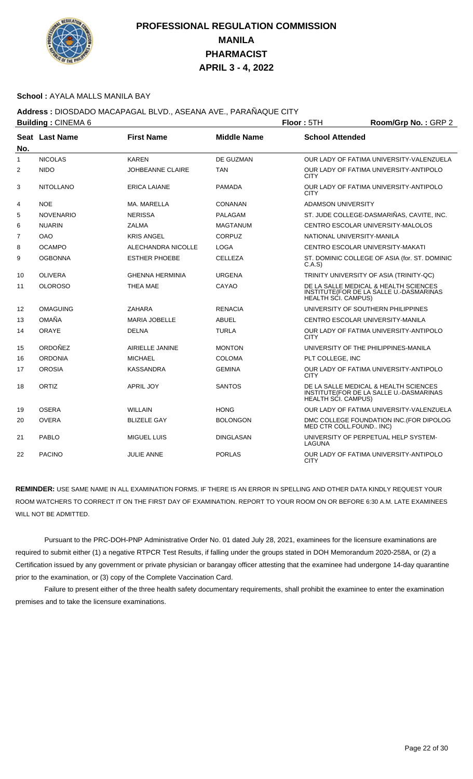

### **School :** AYALA MALLS MANILA BAY

## **Address :** DIOSDADO MACAPAGAL BLVD., ASEANA AVE., PARAÑAQUE CITY

|              | <b>Building: CINEMA 6</b> |                         |                    | Room/Grp No.: GRP 2<br>Floor: 5TH |                                                                                  |  |
|--------------|---------------------------|-------------------------|--------------------|-----------------------------------|----------------------------------------------------------------------------------|--|
| No.          | <b>Seat Last Name</b>     | <b>First Name</b>       | <b>Middle Name</b> | <b>School Attended</b>            |                                                                                  |  |
| $\mathbf{1}$ | <b>NICOLAS</b>            | <b>KAREN</b>            | DE GUZMAN          |                                   | OUR LADY OF FATIMA UNIVERSITY-VALENZUELA                                         |  |
| 2            | <b>NIDO</b>               | <b>JOHBEANNE CLAIRE</b> | <b>TAN</b>         | <b>CITY</b>                       | OUR LADY OF FATIMA UNIVERSITY-ANTIPOLO                                           |  |
| 3            | <b>NITOLLANO</b>          | <b>ERICA LAIANE</b>     | <b>PAMADA</b>      | <b>CITY</b>                       | OUR LADY OF FATIMA UNIVERSITY-ANTIPOLO                                           |  |
| 4            | <b>NOE</b>                | MA, MARELLA             | CONANAN            | <b>ADAMSON UNIVERSITY</b>         |                                                                                  |  |
| 5            | <b>NOVENARIO</b>          | <b>NERISSA</b>          | PALAGAM            |                                   | ST. JUDE COLLEGE-DASMARIÑAS, CAVITE, INC.                                        |  |
| 6            | <b>NUARIN</b>             | <b>ZALMA</b>            | <b>MAGTANUM</b>    |                                   | CENTRO ESCOLAR UNIVERSITY-MALOLOS                                                |  |
| 7            | <b>OAO</b>                | <b>KRIS ANGEL</b>       | <b>CORPUZ</b>      | NATIONAL UNIVERSITY-MANILA        |                                                                                  |  |
| 8            | <b>OCAMPO</b>             | ALECHANDRA NICOLLE      | <b>LOGA</b>        |                                   | CENTRO ESCOLAR UNIVERSITY-MAKATI                                                 |  |
| 9            | <b>OGBONNA</b>            | <b>ESTHER PHOEBE</b>    | <b>CELLEZA</b>     | C.A.S                             | ST. DOMINIC COLLEGE OF ASIA (for. ST. DOMINIC                                    |  |
| 10           | <b>OLIVERA</b>            | <b>GHENNA HERMINIA</b>  | <b>URGENA</b>      |                                   | TRINITY UNIVERSITY OF ASIA (TRINITY-QC)                                          |  |
| 11           | <b>OLOROSO</b>            | <b>THEA MAE</b>         | CAYAO              | <b>HEALTH SCI. CAMPUS)</b>        | DE LA SALLE MEDICAL & HEALTH SCIENCES<br>INSTITUTE(FOR DE LA SALLE U.-DASMARINAS |  |
| 12           | <b>OMAGUING</b>           | <b>ZAHARA</b>           | <b>RENACIA</b>     |                                   | UNIVERSITY OF SOUTHERN PHILIPPINES                                               |  |
| 13           | <b>OMAÑA</b>              | <b>MARIA JOBELLE</b>    | <b>ABUEL</b>       |                                   | CENTRO ESCOLAR UNIVERSITY-MANILA                                                 |  |
| 14           | <b>ORAYE</b>              | <b>DELNA</b>            | <b>TURLA</b>       | <b>CITY</b>                       | OUR LADY OF FATIMA UNIVERSITY-ANTIPOLO                                           |  |
| 15           | ORDOÑEZ                   | AIRIELLE JANINE         | <b>MONTON</b>      |                                   | UNIVERSITY OF THE PHILIPPINES-MANILA                                             |  |
| 16           | <b>ORDONIA</b>            | <b>MICHAEL</b>          | <b>COLOMA</b>      | PLT COLLEGE, INC                  |                                                                                  |  |
| 17           | <b>OROSIA</b>             | <b>KASSANDRA</b>        | <b>GEMINA</b>      | <b>CITY</b>                       | OUR LADY OF FATIMA UNIVERSITY-ANTIPOLO                                           |  |
| 18           | ORTIZ                     | <b>APRIL JOY</b>        | <b>SANTOS</b>      | HEALTH SCI. CAMPUS)               | DE LA SALLE MEDICAL & HEALTH SCIENCES<br>INSTITUTE(FOR DE LA SALLE U.-DASMARINAS |  |
| 19           | <b>OSERA</b>              | <b>WILLAIN</b>          | <b>HONG</b>        |                                   | OUR LADY OF FATIMA UNIVERSITY-VALENZUELA                                         |  |
| 20           | <b>OVERA</b>              | <b>BLIZELE GAY</b>      | <b>BOLONGON</b>    | MED CTR COLL.FOUND INC)           | DMC COLLEGE FOUNDATION INC. (FOR DIPOLOG                                         |  |
| 21           | <b>PABLO</b>              | <b>MIGUEL LUIS</b>      | <b>DINGLASAN</b>   | LAGUNA                            | UNIVERSITY OF PERPETUAL HELP SYSTEM-                                             |  |
| 22           | <b>PACINO</b>             | <b>JULIE ANNE</b>       | <b>PORLAS</b>      | <b>CITY</b>                       | OUR LADY OF FATIMA UNIVERSITY-ANTIPOLO                                           |  |

**REMINDER:** USE SAME NAME IN ALL EXAMINATION FORMS. IF THERE IS AN ERROR IN SPELLING AND OTHER DATA KINDLY REQUEST YOUR ROOM WATCHERS TO CORRECT IT ON THE FIRST DAY OF EXAMINATION. REPORT TO YOUR ROOM ON OR BEFORE 6:30 A.M. LATE EXAMINEES WILL NOT BE ADMITTED.

 Pursuant to the PRC-DOH-PNP Administrative Order No. 01 dated July 28, 2021, examinees for the licensure examinations are required to submit either (1) a negative RTPCR Test Results, if falling under the groups stated in DOH Memorandum 2020-258A, or (2) a Certification issued by any government or private physician or barangay officer attesting that the examinee had undergone 14-day quarantine prior to the examination, or (3) copy of the Complete Vaccination Card.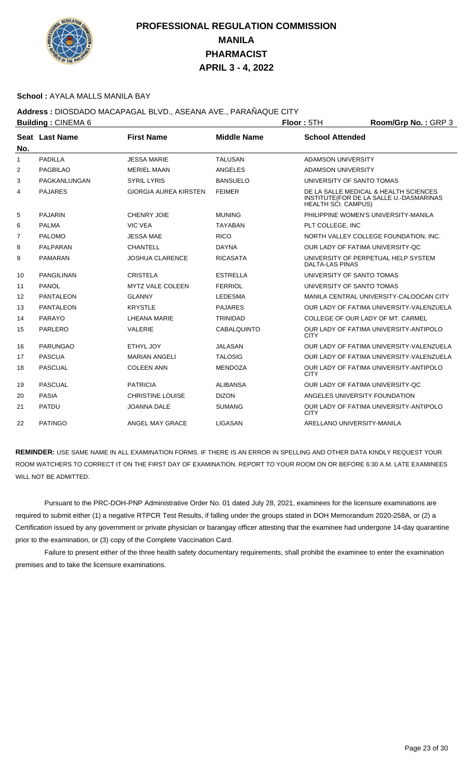

#### **School :** AYALA MALLS MANILA BAY

### **Address :** DIOSDADO MACAPAGAL BLVD., ASEANA AVE., PARAÑAQUE CITY

|     | <b>Building: CINEMA 6</b> |                              |                    | Floor: 5TH                 | Room/Grp No.: GRP 3                                                              |
|-----|---------------------------|------------------------------|--------------------|----------------------------|----------------------------------------------------------------------------------|
| No. | Seat Last Name            | <b>First Name</b>            | <b>Middle Name</b> | <b>School Attended</b>     |                                                                                  |
| 1   | <b>PADILLA</b>            | <b>JESSA MARIE</b>           | <b>TALUSAN</b>     | <b>ADAMSON UNIVERSITY</b>  |                                                                                  |
| 2   | <b>PAGBILAO</b>           | <b>MERIEL MAAN</b>           | ANGELES            | ADAMSON UNIVERSITY         |                                                                                  |
| 3   | PAGKANLUNGAN              | <b>SYRIL LYRIS</b>           | <b>BANSUELO</b>    | UNIVERSITY OF SANTO TOMAS  |                                                                                  |
| 4   | <b>PAJARES</b>            | <b>GIORGIA AUREA KIRSTEN</b> | <b>FEIMER</b>      | <b>HEALTH SCI. CAMPUS)</b> | DE LA SALLE MEDICAL & HEALTH SCIENCES<br>INSTITUTE(FOR DE LA SALLE U.-DASMARINAS |
| 5   | <b>PAJARIN</b>            | <b>CHENRY JOIE</b>           | <b>MUNING</b>      |                            | PHILIPPINE WOMEN'S UNIVERSITY-MANILA                                             |
| 6   | <b>PALMA</b>              | <b>VIC VEA</b>               | <b>TAYABAN</b>     | PLT COLLEGE, INC           |                                                                                  |
| 7   | <b>PALOMO</b>             | <b>JESSA MAE</b>             | <b>RICO</b>        |                            | NORTH VALLEY COLLEGE FOUNDATION, INC.                                            |
| 8   | PALPARAN                  | <b>CHANTELL</b>              | <b>DAYNA</b>       |                            | OUR LADY OF FATIMA UNIVERSITY-OC                                                 |
| 9   | <b>PAMARAN</b>            | <b>JOSHUA CLARENCE</b>       | <b>RICASATA</b>    | <b>DALTA-LAS PINAS</b>     | UNIVERSITY OF PERPETUAL HELP SYSTEM                                              |
| 10  | <b>PANGILINAN</b>         | <b>CRISTELA</b>              | <b>ESTRELLA</b>    | UNIVERSITY OF SANTO TOMAS  |                                                                                  |
| 11  | <b>PANOL</b>              | <b>MYTZ VALE COLEEN</b>      | <b>FERRIOL</b>     | UNIVERSITY OF SANTO TOMAS  |                                                                                  |
| 12  | <b>PANTALEON</b>          | <b>GLANNY</b>                | <b>LEDESMA</b>     |                            | MANILA CENTRAL UNIVERSITY-CALOOCAN CITY                                          |
| 13  | <b>PANTALEON</b>          | <b>KRYSTLE</b>               | <b>PAJARES</b>     |                            | OUR LADY OF FATIMA UNIVERSITY-VALENZUELA                                         |
| 14  | PARAYO                    | LHEANA MARIE                 | <b>TRINIDAD</b>    |                            | COLLEGE OF OUR LADY OF MT. CARMEL                                                |
| 15  | <b>PARLERO</b>            | <b>VALERIE</b>               | CABALQUINTO        | <b>CITY</b>                | OUR LADY OF FATIMA UNIVERSITY-ANTIPOLO                                           |
| 16  | <b>PARUNGAO</b>           | ETHYL JOY                    | JALASAN            |                            | OUR LADY OF FATIMA UNIVERSITY-VALENZUELA                                         |
| 17  | <b>PASCUA</b>             | <b>MARIAN ANGELI</b>         | <b>TALOSIG</b>     |                            | OUR LADY OF FATIMA UNIVERSITY-VALENZUELA                                         |
| 18  | <b>PASCUAL</b>            | <b>COLEEN ANN</b>            | <b>MENDOZA</b>     | <b>CITY</b>                | OUR LADY OF FATIMA UNIVERSITY-ANTIPOLO                                           |
| 19  | <b>PASCUAL</b>            | <b>PATRICIA</b>              | <b>ALIBANSA</b>    |                            | OUR LADY OF FATIMA UNIVERSITY-OC                                                 |
| 20  | <b>PASIA</b>              | <b>CHRISTINE LOUISE</b>      | <b>DIZON</b>       |                            | ANGELES UNIVERSITY FOUNDATION                                                    |
| 21  | <b>PATDU</b>              | <b>JOANNA DALE</b>           | <b>SUMANG</b>      | <b>CITY</b>                | OUR LADY OF FATIMA UNIVERSITY-ANTIPOLO                                           |
| 22  | <b>PATINGO</b>            | ANGEL MAY GRACE              | LIGASAN            | ARELLANO UNIVERSITY-MANILA |                                                                                  |

**REMINDER:** USE SAME NAME IN ALL EXAMINATION FORMS. IF THERE IS AN ERROR IN SPELLING AND OTHER DATA KINDLY REQUEST YOUR ROOM WATCHERS TO CORRECT IT ON THE FIRST DAY OF EXAMINATION. REPORT TO YOUR ROOM ON OR BEFORE 6:30 A.M. LATE EXAMINEES WILL NOT BE ADMITTED.

 Pursuant to the PRC-DOH-PNP Administrative Order No. 01 dated July 28, 2021, examinees for the licensure examinations are required to submit either (1) a negative RTPCR Test Results, if falling under the groups stated in DOH Memorandum 2020-258A, or (2) a Certification issued by any government or private physician or barangay officer attesting that the examinee had undergone 14-day quarantine prior to the examination, or (3) copy of the Complete Vaccination Card.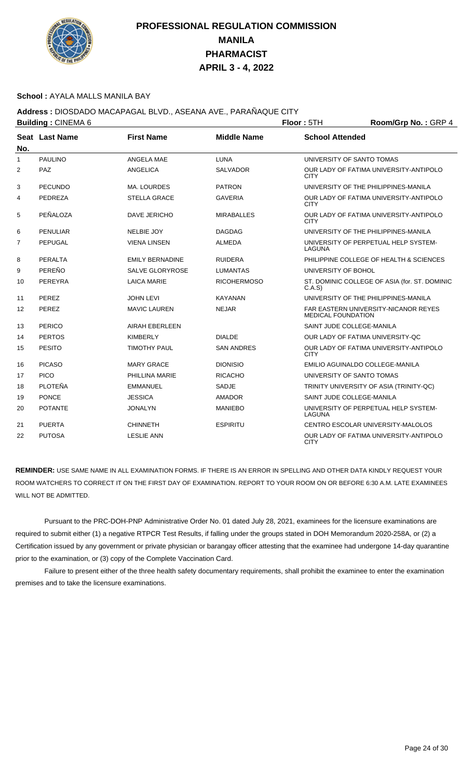

#### **School :** AYALA MALLS MANILA BAY

## **Address :** DIOSDADO MACAPAGAL BLVD., ASEANA AVE., PARAÑAQUE CITY

|              | <b>Building: CINEMA 6</b> |                        | Floor: 5TH<br>Room/Grp No.: GRP 4 |                           |                                               |
|--------------|---------------------------|------------------------|-----------------------------------|---------------------------|-----------------------------------------------|
| No.          | <b>Seat Last Name</b>     | <b>First Name</b>      | <b>Middle Name</b>                | <b>School Attended</b>    |                                               |
| $\mathbf{1}$ | <b>PAULINO</b>            | ANGELA MAE             | <b>LUNA</b>                       |                           | UNIVERSITY OF SANTO TOMAS                     |
| 2            | PAZ                       | <b>ANGELICA</b>        | <b>SALVADOR</b>                   | <b>CITY</b>               | OUR LADY OF FATIMA UNIVERSITY-ANTIPOLO        |
| 3            | <b>PECUNDO</b>            | <b>MA. LOURDES</b>     | <b>PATRON</b>                     |                           | UNIVERSITY OF THE PHILIPPINES-MANILA          |
| 4            | PEDREZA                   | <b>STELLA GRACE</b>    | <b>GAVERIA</b>                    | <b>CITY</b>               | OUR LADY OF FATIMA UNIVERSITY-ANTIPOLO        |
| 5            | PEÑALOZA                  | DAVE JERICHO           | <b>MIRABALLES</b>                 | <b>CITY</b>               | OUR LADY OF FATIMA UNIVERSITY-ANTIPOLO        |
| 6            | <b>PENULIAR</b>           | <b>NELBIE JOY</b>      | <b>DAGDAG</b>                     |                           | UNIVERSITY OF THE PHILIPPINES-MANILA          |
| 7            | PEPUGAL                   | <b>VIENA LINSEN</b>    | <b>ALMEDA</b>                     | LAGUNA                    | UNIVERSITY OF PERPETUAL HELP SYSTEM-          |
| 8            | PERALTA                   | <b>EMILY BERNADINE</b> | <b>RUIDERA</b>                    |                           | PHILIPPINE COLLEGE OF HEALTH & SCIENCES       |
| 9            | PEREÑO                    | <b>SALVE GLORYROSE</b> | <b>LUMANTAS</b>                   | UNIVERSITY OF BOHOL       |                                               |
| 10           | PEREYRA                   | <b>LAICA MARIE</b>     | <b>RICOHERMOSO</b>                | C.A.S                     | ST. DOMINIC COLLEGE OF ASIA (for. ST. DOMINIC |
| 11           | PEREZ                     | <b>JOHN LEVI</b>       | <b>KAYANAN</b>                    |                           | UNIVERSITY OF THE PHILIPPINES-MANILA          |
| 12           | PEREZ                     | <b>MAVIC LAUREN</b>    | <b>NEJAR</b>                      | <b>MEDICAL FOUNDATION</b> | <b>FAR EASTERN UNIVERSITY-NICANOR REYES</b>   |
| 13           | PERICO                    | <b>AIRAH EBERLEEN</b>  |                                   | SAINT JUDE COLLEGE-MANILA |                                               |
| 14           | <b>PERTOS</b>             | <b>KIMBERLY</b>        | <b>DIALDE</b>                     |                           | OUR LADY OF FATIMA UNIVERSITY-QC              |
| 15           | <b>PESITO</b>             | <b>TIMOTHY PAUL</b>    | <b>SAN ANDRES</b>                 | <b>CITY</b>               | OUR LADY OF FATIMA UNIVERSITY-ANTIPOLO        |
| 16           | <b>PICASO</b>             | <b>MARY GRACE</b>      | <b>DIONISIO</b>                   |                           | EMILIO AGUINALDO COLLEGE-MANILA               |
| 17           | <b>PICO</b>               | PHILLINA MARIE         | <b>RICACHO</b>                    |                           | UNIVERSITY OF SANTO TOMAS                     |
| 18           | <b>PLOTEÑA</b>            | <b>EMMANUEL</b>        | <b>SADJE</b>                      |                           | TRINITY UNIVERSITY OF ASIA (TRINITY-QC)       |
| 19           | <b>PONCE</b>              | <b>JESSICA</b>         | <b>AMADOR</b>                     | SAINT JUDE COLLEGE-MANILA |                                               |
| 20           | <b>POTANTE</b>            | <b>JONALYN</b>         | <b>MANIEBO</b>                    | LAGUNA                    | UNIVERSITY OF PERPETUAL HELP SYSTEM-          |
| 21           | <b>PUERTA</b>             | <b>CHINNETH</b>        | <b>ESPIRITU</b>                   |                           | CENTRO ESCOLAR UNIVERSITY-MALOLOS             |
| 22           | <b>PUTOSA</b>             | <b>LESLIE ANN</b>      |                                   | <b>CITY</b>               | OUR LADY OF FATIMA UNIVERSITY-ANTIPOLO        |

**REMINDER:** USE SAME NAME IN ALL EXAMINATION FORMS. IF THERE IS AN ERROR IN SPELLING AND OTHER DATA KINDLY REQUEST YOUR ROOM WATCHERS TO CORRECT IT ON THE FIRST DAY OF EXAMINATION. REPORT TO YOUR ROOM ON OR BEFORE 6:30 A.M. LATE EXAMINEES WILL NOT BE ADMITTED.

 Pursuant to the PRC-DOH-PNP Administrative Order No. 01 dated July 28, 2021, examinees for the licensure examinations are required to submit either (1) a negative RTPCR Test Results, if falling under the groups stated in DOH Memorandum 2020-258A, or (2) a Certification issued by any government or private physician or barangay officer attesting that the examinee had undergone 14-day quarantine prior to the examination, or (3) copy of the Complete Vaccination Card.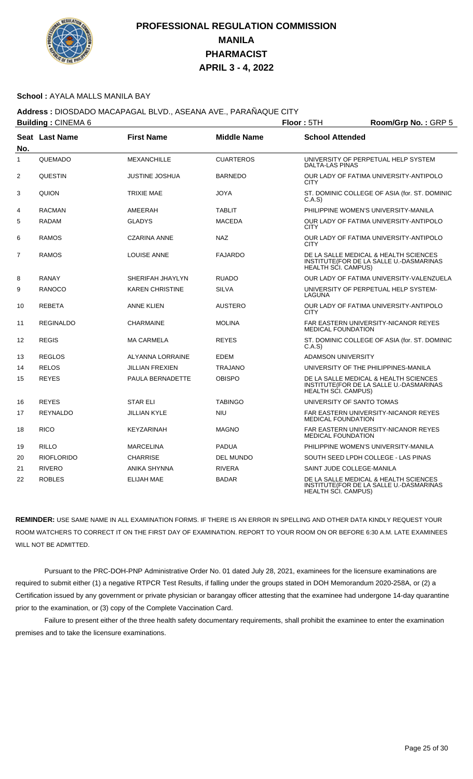

### **School :** AYALA MALLS MANILA BAY

## **Address :** DIOSDADO MACAPAGAL BLVD., ASEANA AVE., PARAÑAQUE CITY

|                | <b>Building: CINEMA 6</b> |                         | Floor: 5TH         | Room/Grp No.: GRP 5        |                                                                                                                |  |
|----------------|---------------------------|-------------------------|--------------------|----------------------------|----------------------------------------------------------------------------------------------------------------|--|
| No.            | Seat Last Name            | <b>First Name</b>       | <b>Middle Name</b> | <b>School Attended</b>     |                                                                                                                |  |
| $\mathbf{1}$   | QUEMADO                   | <b>MEXANCHILLE</b>      | <b>CUARTEROS</b>   | <b>DALTA-LAS PINAS</b>     | UNIVERSITY OF PERPETUAL HELP SYSTEM                                                                            |  |
| $\overline{2}$ | <b>QUESTIN</b>            | <b>JUSTINE JOSHUA</b>   | <b>BARNEDO</b>     | <b>CITY</b>                | OUR LADY OF FATIMA UNIVERSITY-ANTIPOLO                                                                         |  |
| 3              | <b>QUION</b>              | <b>TRIXIE MAE</b>       | JOYA               | C.A.S                      | ST. DOMINIC COLLEGE OF ASIA (for. ST. DOMINIC                                                                  |  |
| 4              | <b>RACMAN</b>             | AMEERAH                 | <b>TABLIT</b>      |                            | PHILIPPINE WOMEN'S UNIVERSITY-MANILA                                                                           |  |
| 5              | <b>RADAM</b>              | <b>GLADYS</b>           | <b>MACEDA</b>      | <b>CITY</b>                | OUR LADY OF FATIMA UNIVERSITY-ANTIPOLO                                                                         |  |
| 6              | <b>RAMOS</b>              | <b>CZARINA ANNE</b>     | <b>NAZ</b>         | <b>CITY</b>                | OUR LADY OF FATIMA UNIVERSITY-ANTIPOLO                                                                         |  |
| $\overline{7}$ | <b>RAMOS</b>              | <b>LOUISE ANNE</b>      | <b>FAJARDO</b>     |                            | DE LA SALLE MEDICAL & HEALTH SCIENCES<br>INSTITUTE(FOR DE LA SALLE U.-DASMARINAS<br><b>HEALTH SCI. CAMPUS)</b> |  |
| 8              | <b>RANAY</b>              | SHERIFAH JHAYLYN        | <b>RUADO</b>       |                            | OUR LADY OF FATIMA UNIVERSITY-VALENZUELA                                                                       |  |
| 9              | <b>RANOCO</b>             | <b>KAREN CHRISTINE</b>  | <b>SILVA</b>       | LAGUNA                     | UNIVERSITY OF PERPETUAL HELP SYSTEM-                                                                           |  |
| 10             | <b>REBETA</b>             | <b>ANNE KLIEN</b>       | <b>AUSTERO</b>     | <b>CITY</b>                | OUR LADY OF FATIMA UNIVERSITY-ANTIPOLO                                                                         |  |
| 11             | <b>REGINALDO</b>          | <b>CHARMAINE</b>        | <b>MOLINA</b>      | <b>MEDICAL FOUNDATION</b>  | <b>FAR EASTERN UNIVERSITY-NICANOR REYES</b>                                                                    |  |
| 12             | <b>REGIS</b>              | <b>MA CARMELA</b>       | <b>REYES</b>       | C.A.S                      | ST. DOMINIC COLLEGE OF ASIA (for. ST. DOMINIC                                                                  |  |
| 13             | <b>REGLOS</b>             | <b>ALYANNA LORRAINE</b> | <b>EDEM</b>        | <b>ADAMSON UNIVERSITY</b>  |                                                                                                                |  |
| 14             | <b>RELOS</b>              | <b>JILLIAN FREXIEN</b>  | <b>TRAJANO</b>     |                            | UNIVERSITY OF THE PHILIPPINES-MANILA                                                                           |  |
| 15             | <b>REYES</b>              | PAULA BERNADETTE        | <b>OBISPO</b>      | <b>HEALTH SCI. CAMPUS)</b> | DE LA SALLE MEDICAL & HEALTH SCIENCES<br>INSTITUTE(FOR DE LA SALLE U.-DASMARINAS                               |  |
| 16             | <b>REYES</b>              | <b>STAR ELI</b>         | <b>TABINGO</b>     | UNIVERSITY OF SANTO TOMAS  |                                                                                                                |  |
| 17             | <b>REYNALDO</b>           | <b>JILLIAN KYLE</b>     | <b>NIU</b>         |                            | <b>FAR EASTERN UNIVERSITY-NICANOR REYES</b><br><b>MEDICAL FOUNDATION</b>                                       |  |
| 18             | <b>RICO</b>               | KEYZARINAH              | <b>MAGNO</b>       | <b>MEDICAL FOUNDATION</b>  | <b>FAR EASTERN UNIVERSITY-NICANOR REYES</b>                                                                    |  |
| 19             | <b>RILLO</b>              | <b>MARCELINA</b>        | <b>PADUA</b>       |                            | PHILIPPINE WOMEN'S UNIVERSITY-MANILA                                                                           |  |
| 20             | <b>RIOFLORIDO</b>         | <b>CHARRISE</b>         | <b>DEL MUNDO</b>   |                            | SOUTH SEED LPDH COLLEGE - LAS PINAS                                                                            |  |
| 21             | <b>RIVERO</b>             | ANIKA SHYNNA            | <b>RIVERA</b>      | SAINT JUDE COLLEGE-MANILA  |                                                                                                                |  |
| 22             | <b>ROBLES</b>             | <b>ELIJAH MAE</b>       | <b>BADAR</b>       | <b>HEALTH SCI. CAMPUS)</b> | DE LA SALLE MEDICAL & HEALTH SCIENCES<br>INSTITUTE(FOR DE LA SALLE U.-DASMARINAS                               |  |

**REMINDER:** USE SAME NAME IN ALL EXAMINATION FORMS. IF THERE IS AN ERROR IN SPELLING AND OTHER DATA KINDLY REQUEST YOUR ROOM WATCHERS TO CORRECT IT ON THE FIRST DAY OF EXAMINATION. REPORT TO YOUR ROOM ON OR BEFORE 6:30 A.M. LATE EXAMINEES WILL NOT BE ADMITTED.

 Pursuant to the PRC-DOH-PNP Administrative Order No. 01 dated July 28, 2021, examinees for the licensure examinations are required to submit either (1) a negative RTPCR Test Results, if falling under the groups stated in DOH Memorandum 2020-258A, or (2) a Certification issued by any government or private physician or barangay officer attesting that the examinee had undergone 14-day quarantine prior to the examination, or (3) copy of the Complete Vaccination Card.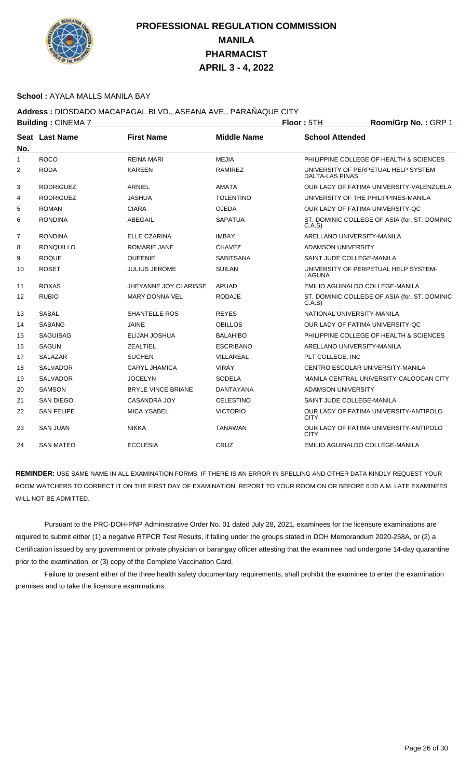

### **School :** AYALA MALLS MANILA BAY

## **Address :** DIOSDADO MACAPAGAL BLVD., ASEANA AVE., PARAÑAQUE CITY

|     | <b>Building: CINEMA 7</b> |                           | Floor: 5TH         | Room/Grp No.: GRP 1        |                                               |
|-----|---------------------------|---------------------------|--------------------|----------------------------|-----------------------------------------------|
| No. | Seat Last Name            | <b>First Name</b>         | <b>Middle Name</b> | <b>School Attended</b>     |                                               |
| 1   | <b>ROCO</b>               | <b>REINA MARI</b>         | <b>MEJIA</b>       |                            | PHILIPPINE COLLEGE OF HEALTH & SCIENCES       |
| 2   | <b>RODA</b>               | <b>KAREEN</b>             | <b>RAMIREZ</b>     | DALTA-LAS PINAS            | UNIVERSITY OF PERPETUAL HELP SYSTEM           |
| 3   | <b>RODRIGUEZ</b>          | <b>ARNIEL</b>             | <b>AMATA</b>       |                            | OUR LADY OF FATIMA UNIVERSITY-VALENZUELA      |
| 4   | <b>RODRIGUEZ</b>          | <b>JASHUA</b>             | <b>TOLENTINO</b>   |                            | UNIVERSITY OF THE PHILIPPINES-MANILA          |
| 5   | <b>ROMAN</b>              | <b>CIARA</b>              | <b>OJEDA</b>       |                            | OUR LADY OF FATIMA UNIVERSITY-QC              |
| 6   | <b>RONDINA</b>            | <b>ABEGAIL</b>            | <b>SAPATUA</b>     | C.A.S                      | ST. DOMINIC COLLEGE OF ASIA (for. ST. DOMINIC |
| 7   | <b>RONDINA</b>            | ELLE CZARINA              | <b>IMBAY</b>       | ARELLANO UNIVERSITY-MANILA |                                               |
| 8   | <b>RONQUILLO</b>          | ROMARIE JANE              | <b>CHAVEZ</b>      | ADAMSON UNIVERSITY         |                                               |
| 9   | <b>ROQUE</b>              | QUEENIE                   | <b>SABITSANA</b>   | SAINT JUDE COLLEGE-MANILA  |                                               |
| 10  | <b>ROSET</b>              | <b>JULIUS JEROME</b>      | <b>SUILAN</b>      | LAGUNA                     | UNIVERSITY OF PERPETUAL HELP SYSTEM-          |
| 11  | <b>ROXAS</b>              | JHEYANNE JOY CLARISSE     | <b>APUAD</b>       |                            | EMILIO AGUINALDO COLLEGE-MANILA               |
| 12  | <b>RUBIO</b>              | <b>MARY DONNA VEL</b>     | <b>RODAJE</b>      | C.A.S                      | ST. DOMINIC COLLEGE OF ASIA (for. ST. DOMINIC |
| 13  | <b>SABAL</b>              | <b>SHANTELLE ROS</b>      | <b>REYES</b>       | NATIONAL UNIVERSITY-MANILA |                                               |
| 14  | <b>SABANG</b>             | <b>JAINE</b>              | <b>OBILLOS</b>     |                            | OUR LADY OF FATIMA UNIVERSITY-QC              |
| 15  | <b>SAGUISAG</b>           | ELIJAH JOSHUA             | <b>BALAHIBO</b>    |                            | PHILIPPINE COLLEGE OF HEALTH & SCIENCES       |
| 16  | <b>SAGUN</b>              | ZEALTIEL                  | <b>ESCRIBANO</b>   | ARELLANO UNIVERSITY-MANILA |                                               |
| 17  | <b>SALAZAR</b>            | <b>SUCHEN</b>             | VILLAREAL          | PLT COLLEGE, INC           |                                               |
| 18  | <b>SALVADOR</b>           | <b>CARYL JHAMICA</b>      | <b>VIRAY</b>       |                            | CENTRO ESCOLAR UNIVERSITY-MANILA              |
| 19  | <b>SALVADOR</b>           | <b>JOCELYN</b>            | <b>SODELA</b>      |                            | MANILA CENTRAL UNIVERSITY-CALOOCAN CITY       |
| 20  | <b>SAMSON</b>             | <b>BRYLE VINCE BRIANE</b> | DANTAYANA          | ADAMSON UNIVERSITY         |                                               |
| 21  | <b>SAN DIEGO</b>          | <b>CASANDRA JOY</b>       | <b>CELESTINO</b>   | SAINT JUDE COLLEGE-MANILA  |                                               |
| 22  | <b>SAN FELIPE</b>         | <b>MICA YSABEL</b>        | <b>VICTORIO</b>    | <b>CITY</b>                | OUR LADY OF FATIMA UNIVERSITY-ANTIPOLO        |
| 23  | <b>SAN JUAN</b>           | <b>NIKKA</b>              | <b>TANAWAN</b>     | <b>CITY</b>                | OUR LADY OF FATIMA UNIVERSITY-ANTIPOLO        |
| 24  | <b>SAN MATEO</b>          | <b>ECCLESIA</b>           | CRUZ               |                            | EMILIO AGUINALDO COLLEGE-MANILA               |

**REMINDER:** USE SAME NAME IN ALL EXAMINATION FORMS. IF THERE IS AN ERROR IN SPELLING AND OTHER DATA KINDLY REQUEST YOUR ROOM WATCHERS TO CORRECT IT ON THE FIRST DAY OF EXAMINATION. REPORT TO YOUR ROOM ON OR BEFORE 6:30 A.M. LATE EXAMINEES WILL NOT BE ADMITTED.

 Pursuant to the PRC-DOH-PNP Administrative Order No. 01 dated July 28, 2021, examinees for the licensure examinations are required to submit either (1) a negative RTPCR Test Results, if falling under the groups stated in DOH Memorandum 2020-258A, or (2) a Certification issued by any government or private physician or barangay officer attesting that the examinee had undergone 14-day quarantine prior to the examination, or (3) copy of the Complete Vaccination Card.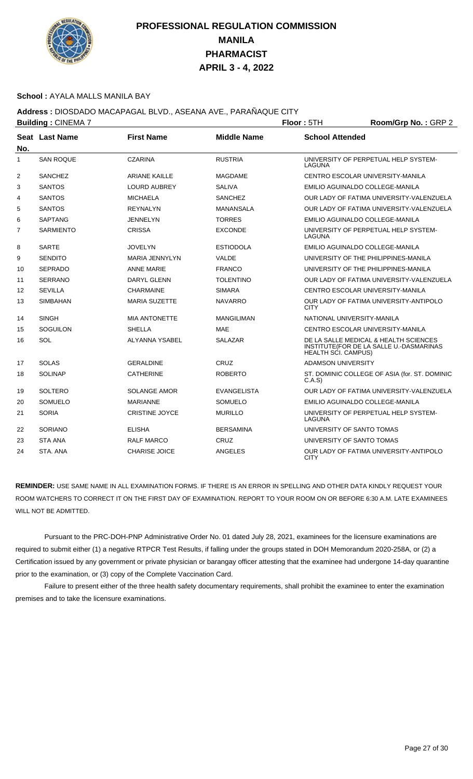

### **School :** AYALA MALLS MANILA BAY

## **Address :** DIOSDADO MACAPAGAL BLVD., ASEANA AVE., PARAÑAQUE CITY

| <b>Building: CINEMA 7</b> |                  |                       |                    | Floor: 5TH                 | Room/Grp No.: GRP 2                                                              |
|---------------------------|------------------|-----------------------|--------------------|----------------------------|----------------------------------------------------------------------------------|
| No.                       | Seat Last Name   | <b>First Name</b>     | <b>Middle Name</b> | <b>School Attended</b>     |                                                                                  |
| $\mathbf{1}$              | <b>SAN ROQUE</b> | <b>CZARINA</b>        | <b>RUSTRIA</b>     | LAGUNA                     | UNIVERSITY OF PERPETUAL HELP SYSTEM-                                             |
| 2                         | <b>SANCHEZ</b>   | <b>ARIANE KAILLE</b>  | <b>MAGDAME</b>     |                            | CENTRO ESCOLAR UNIVERSITY-MANILA                                                 |
| 3                         | <b>SANTOS</b>    | <b>LOURD AUBREY</b>   | SALIVA             |                            | EMILIO AGUINALDO COLLEGE-MANILA                                                  |
| 4                         | <b>SANTOS</b>    | <b>MICHAELA</b>       | <b>SANCHEZ</b>     |                            | OUR LADY OF FATIMA UNIVERSITY-VALENZUELA                                         |
| 5                         | <b>SANTOS</b>    | <b>REYNALYN</b>       | <b>MANANSALA</b>   |                            | OUR LADY OF FATIMA UNIVERSITY-VALENZUELA                                         |
| 6                         | <b>SAPTANG</b>   | <b>JENNELYN</b>       | <b>TORRES</b>      |                            | EMILIO AGUINALDO COLLEGE-MANILA                                                  |
| $\overline{7}$            | <b>SARMIENTO</b> | <b>CRISSA</b>         | <b>EXCONDE</b>     | LAGUNA                     | UNIVERSITY OF PERPETUAL HELP SYSTEM-                                             |
| 8                         | <b>SARTE</b>     | <b>JOVELYN</b>        | <b>ESTIODOLA</b>   |                            | EMILIO AGUINALDO COLLEGE-MANILA                                                  |
| 9                         | <b>SENDITO</b>   | <b>MARIA JENNYLYN</b> | VALDE              |                            | UNIVERSITY OF THE PHILIPPINES-MANILA                                             |
| 10                        | <b>SEPRADO</b>   | <b>ANNE MARIE</b>     | <b>FRANCO</b>      |                            | UNIVERSITY OF THE PHILIPPINES-MANILA                                             |
| 11                        | <b>SERRANO</b>   | DARYL GLENN           | <b>TOLENTINO</b>   |                            | OUR LADY OF FATIMA UNIVERSITY-VALENZUELA                                         |
| $12 \overline{ }$         | <b>SEVILLA</b>   | <b>CHARMAINE</b>      | <b>SIMARA</b>      |                            | CENTRO ESCOLAR UNIVERSITY-MANILA                                                 |
| 13                        | <b>SIMBAHAN</b>  | <b>MARIA SUZETTE</b>  | <b>NAVARRO</b>     | <b>CITY</b>                | OUR LADY OF FATIMA UNIVERSITY-ANTIPOLO                                           |
| 14                        | <b>SINGH</b>     | <b>MIA ANTONETTE</b>  | <b>MANGILIMAN</b>  |                            | NATIONAL UNIVERSITY-MANILA                                                       |
| 15                        | <b>SOGUILON</b>  | <b>SHELLA</b>         | <b>MAE</b>         |                            | CENTRO ESCOLAR UNIVERSITY-MANILA                                                 |
| 16                        | SOL              | <b>ALYANNA YSABEL</b> | <b>SALAZAR</b>     | <b>HEALTH SCI. CAMPUS)</b> | DE LA SALLE MEDICAL & HEALTH SCIENCES<br>INSTITUTE(FOR DE LA SALLE U.-DASMARINAS |
| 17                        | <b>SOLAS</b>     | <b>GERALDINE</b>      | <b>CRUZ</b>        | <b>ADAMSON UNIVERSITY</b>  |                                                                                  |
| 18                        | <b>SOLINAP</b>   | <b>CATHERINE</b>      | <b>ROBERTO</b>     | C.A.S                      | ST. DOMINIC COLLEGE OF ASIA (for. ST. DOMINIC                                    |
| 19                        | <b>SOLTERO</b>   | <b>SOLANGE AMOR</b>   | <b>EVANGELISTA</b> |                            | OUR LADY OF FATIMA UNIVERSITY-VALENZUELA                                         |
| 20                        | <b>SOMUELO</b>   | <b>MARIANNE</b>       | <b>SOMUELO</b>     |                            | EMILIO AGUINALDO COLLEGE-MANILA                                                  |
| 21                        | <b>SORIA</b>     | <b>CRISTINE JOYCE</b> | <b>MURILLO</b>     | LAGUNA                     | UNIVERSITY OF PERPETUAL HELP SYSTEM-                                             |
| 22                        | SORIANO          | <b>ELISHA</b>         | <b>BERSAMINA</b>   |                            | UNIVERSITY OF SANTO TOMAS                                                        |
| 23                        | <b>STA ANA</b>   | <b>RALF MARCO</b>     | CRUZ               |                            | UNIVERSITY OF SANTO TOMAS                                                        |
| 24                        | STA. ANA         | <b>CHARISE JOICE</b>  | <b>ANGELES</b>     | <b>CITY</b>                | OUR LADY OF FATIMA UNIVERSITY-ANTIPOLO                                           |

**REMINDER:** USE SAME NAME IN ALL EXAMINATION FORMS. IF THERE IS AN ERROR IN SPELLING AND OTHER DATA KINDLY REQUEST YOUR ROOM WATCHERS TO CORRECT IT ON THE FIRST DAY OF EXAMINATION. REPORT TO YOUR ROOM ON OR BEFORE 6:30 A.M. LATE EXAMINEES WILL NOT BE ADMITTED.

 Pursuant to the PRC-DOH-PNP Administrative Order No. 01 dated July 28, 2021, examinees for the licensure examinations are required to submit either (1) a negative RTPCR Test Results, if falling under the groups stated in DOH Memorandum 2020-258A, or (2) a Certification issued by any government or private physician or barangay officer attesting that the examinee had undergone 14-day quarantine prior to the examination, or (3) copy of the Complete Vaccination Card.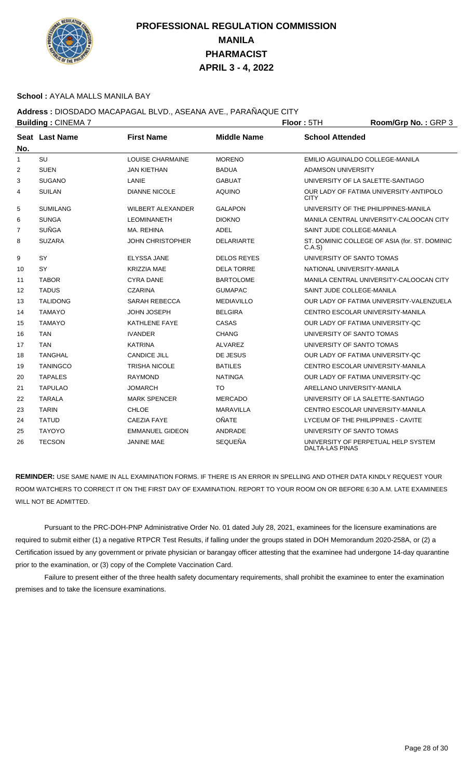

### **School :** AYALA MALLS MANILA BAY

### **Address :** DIOSDADO MACAPAGAL BLVD., ASEANA AVE., PARAÑAQUE CITY

|                | <b>Building: CINEMA 7</b> |                          | Floor: 5TH         | Room/Grp No.: GRP 3        |                                               |
|----------------|---------------------------|--------------------------|--------------------|----------------------------|-----------------------------------------------|
| No.            | Seat Last Name            | <b>First Name</b>        | <b>Middle Name</b> | <b>School Attended</b>     |                                               |
| $\mathbf{1}$   | SU                        | <b>LOUISE CHARMAINE</b>  | <b>MORENO</b>      |                            | EMILIO AGUINALDO COLLEGE-MANILA               |
| 2              | <b>SUEN</b>               | <b>JAN KIETHAN</b>       | <b>BADUA</b>       | <b>ADAMSON UNIVERSITY</b>  |                                               |
| 3              | <b>SUGANO</b>             | LANIE                    | <b>GABUAT</b>      |                            | UNIVERSITY OF LA SALETTE-SANTIAGO             |
| 4              | <b>SUILAN</b>             | <b>DIANNE NICOLE</b>     | <b>AQUINO</b>      | <b>CITY</b>                | OUR LADY OF FATIMA UNIVERSITY-ANTIPOLO        |
| 5              | <b>SUMILANG</b>           | <b>WILBERT ALEXANDER</b> | <b>GALAPON</b>     |                            | UNIVERSITY OF THE PHILIPPINES-MANILA          |
| 6              | <b>SUNGA</b>              | <b>LEOMINANETH</b>       | <b>DIOKNO</b>      |                            | MANILA CENTRAL UNIVERSITY-CALOOCAN CITY       |
| $\overline{7}$ | <b>SUÑGA</b>              | MA. REHINA               | <b>ADEL</b>        | SAINT JUDE COLLEGE-MANILA  |                                               |
| 8              | <b>SUZARA</b>             | JOHN CHRISTOPHER         | <b>DELARIARTE</b>  | C.A.S                      | ST. DOMINIC COLLEGE OF ASIA (for. ST. DOMINIC |
| 9              | SY                        | <b>ELYSSA JANE</b>       | <b>DELOS REYES</b> | UNIVERSITY OF SANTO TOMAS  |                                               |
| 10             | SY                        | <b>KRIZZIA MAE</b>       | <b>DELA TORRE</b>  | NATIONAL UNIVERSITY-MANILA |                                               |
| 11             | <b>TABOR</b>              | <b>CYRA DANE</b>         | <b>BARTOLOME</b>   |                            | MANILA CENTRAL UNIVERSITY-CALOOCAN CITY       |
| 12             | <b>TADUS</b>              | <b>CZARINA</b>           | <b>GUMAPAC</b>     | SAINT JUDE COLLEGE-MANILA  |                                               |
| 13             | <b>TALIDONG</b>           | <b>SARAH REBECCA</b>     | <b>MEDIAVILLO</b>  |                            | OUR LADY OF FATIMA UNIVERSITY-VALENZUELA      |
| 14             | <b>TAMAYO</b>             | JOHN JOSEPH              | <b>BELGIRA</b>     |                            | CENTRO ESCOLAR UNIVERSITY-MANILA              |
| 15             | <b>TAMAYO</b>             | <b>KATHLENE FAYE</b>     | CASAS              |                            | OUR LADY OF FATIMA UNIVERSITY-QC              |
| 16             | <b>TAN</b>                | <b>IVANDER</b>           | <b>CHANG</b>       | UNIVERSITY OF SANTO TOMAS  |                                               |
| 17             | <b>TAN</b>                | <b>KATRINA</b>           | <b>ALVAREZ</b>     | UNIVERSITY OF SANTO TOMAS  |                                               |
| 18             | <b>TANGHAL</b>            | <b>CANDICE JILL</b>      | DE JESUS           |                            | OUR LADY OF FATIMA UNIVERSITY-OC              |
| 19             | <b>TANINGCO</b>           | <b>TRISHA NICOLE</b>     | <b>BATILES</b>     |                            | CENTRO ESCOLAR UNIVERSITY-MANILA              |
| 20             | <b>TAPALES</b>            | <b>RAYMOND</b>           | <b>NATINGA</b>     |                            | OUR LADY OF FATIMA UNIVERSITY-QC              |
| 21             | <b>TAPULAO</b>            | JOMARCH                  | <b>TO</b>          | ARELLANO UNIVERSITY-MANILA |                                               |
| 22             | <b>TARALA</b>             | <b>MARK SPENCER</b>      | <b>MERCADO</b>     |                            | UNIVERSITY OF LA SALETTE-SANTIAGO             |
| 23             | <b>TARIN</b>              | <b>CHLOE</b>             | <b>MARAVILLA</b>   |                            | CENTRO ESCOLAR UNIVERSITY-MANILA              |
| 24             | <b>TATUD</b>              | <b>CAEZIA FAYE</b>       | <b>OÑATE</b>       |                            | LYCEUM OF THE PHILIPPINES - CAVITE            |
| 25             | <b>TAYOYO</b>             | <b>EMMANUEL GIDEON</b>   | ANDRADE            | UNIVERSITY OF SANTO TOMAS  |                                               |
| 26             | <b>TECSON</b>             | <b>JANINE MAE</b>        | <b>SEQUEÑA</b>     | DALTA-LAS PINAS            | UNIVERSITY OF PERPETUAL HELP SYSTEM           |

**REMINDER:** USE SAME NAME IN ALL EXAMINATION FORMS. IF THERE IS AN ERROR IN SPELLING AND OTHER DATA KINDLY REQUEST YOUR ROOM WATCHERS TO CORRECT IT ON THE FIRST DAY OF EXAMINATION. REPORT TO YOUR ROOM ON OR BEFORE 6:30 A.M. LATE EXAMINEES WILL NOT BE ADMITTED.

 Pursuant to the PRC-DOH-PNP Administrative Order No. 01 dated July 28, 2021, examinees for the licensure examinations are required to submit either (1) a negative RTPCR Test Results, if falling under the groups stated in DOH Memorandum 2020-258A, or (2) a Certification issued by any government or private physician or barangay officer attesting that the examinee had undergone 14-day quarantine prior to the examination, or (3) copy of the Complete Vaccination Card.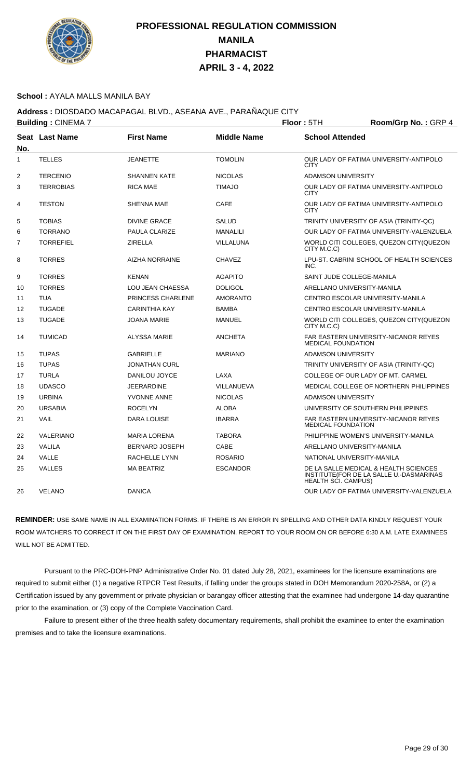

### **School :** AYALA MALLS MANILA BAY

**Address :** DIOSDADO MACAPAGAL BLVD., ASEANA AVE., PARAÑAQUE CITY

|              | <b>Building: CINEMA 7</b> |                       | Floor: 5TH         | Room/Grp No.: GRP 4        |                                                                                  |
|--------------|---------------------------|-----------------------|--------------------|----------------------------|----------------------------------------------------------------------------------|
| No.          | Seat Last Name            | <b>First Name</b>     | <b>Middle Name</b> | <b>School Attended</b>     |                                                                                  |
| $\mathbf{1}$ | <b>TELLES</b>             | <b>JEANETTE</b>       | <b>TOMOLIN</b>     | <b>CITY</b>                | OUR LADY OF FATIMA UNIVERSITY-ANTIPOLO                                           |
| 2            | <b>TERCENIO</b>           | <b>SHANNEN KATE</b>   | <b>NICOLAS</b>     | <b>ADAMSON UNIVERSITY</b>  |                                                                                  |
| 3            | <b>TERROBIAS</b>          | <b>RICA MAE</b>       | <b>TIMAJO</b>      | <b>CITY</b>                | OUR LADY OF FATIMA UNIVERSITY-ANTIPOLO                                           |
| 4            | <b>TESTON</b>             | <b>SHENNA MAE</b>     | <b>CAFE</b>        | <b>CITY</b>                | OUR LADY OF FATIMA UNIVERSITY-ANTIPOLO                                           |
| 5            | <b>TOBIAS</b>             | <b>DIVINE GRACE</b>   | <b>SALUD</b>       |                            | TRINITY UNIVERSITY OF ASIA (TRINITY-QC)                                          |
| 6            | <b>TORRANO</b>            | <b>PAULA CLARIZE</b>  | <b>MANALILI</b>    |                            | OUR LADY OF FATIMA UNIVERSITY-VALENZUELA                                         |
| 7            | <b>TORREFIEL</b>          | <b>ZIRELLA</b>        | VILLALUNA          | CITY M.C.C)                | WORLD CITI COLLEGES, QUEZON CITY (QUEZON                                         |
| 8            | <b>TORRES</b>             | <b>AIZHA NORRAINE</b> | <b>CHAVEZ</b>      | INC.                       | LPU-ST. CABRINI SCHOOL OF HEALTH SCIENCES                                        |
| 9            | <b>TORRES</b>             | <b>KENAN</b>          | <b>AGAPITO</b>     | SAINT JUDE COLLEGE-MANILA  |                                                                                  |
| 10           | <b>TORRES</b>             | LOU JEAN CHAESSA      | <b>DOLIGOL</b>     | ARELLANO UNIVERSITY-MANILA |                                                                                  |
| 11           | <b>TUA</b>                | PRINCESS CHARLENE     | <b>AMORANTO</b>    |                            | CENTRO ESCOLAR UNIVERSITY-MANILA                                                 |
| 12           | <b>TUGADE</b>             | <b>CARINTHIA KAY</b>  | <b>BAMBA</b>       |                            | CENTRO ESCOLAR UNIVERSITY-MANILA                                                 |
| 13           | <b>TUGADE</b>             | <b>JOANA MARIE</b>    | <b>MANUEL</b>      | CITY M.C.C)                | WORLD CITI COLLEGES, QUEZON CITY(QUEZON                                          |
| 14           | <b>TUMICAD</b>            | <b>ALYSSA MARIE</b>   | <b>ANCHETA</b>     | <b>MEDICAL FOUNDATION</b>  | FAR EASTERN UNIVERSITY-NICANOR REYES                                             |
| 15           | <b>TUPAS</b>              | <b>GABRIELLE</b>      | <b>MARIANO</b>     | <b>ADAMSON UNIVERSITY</b>  |                                                                                  |
| 16           | <b>TUPAS</b>              | <b>JONATHAN CURL</b>  |                    |                            | TRINITY UNIVERSITY OF ASIA (TRINITY-QC)                                          |
| 17           | <b>TURLA</b>              | DANILOU JOYCE         | LAXA               |                            | COLLEGE OF OUR LADY OF MT. CARMEL                                                |
| 18           | <b>UDASCO</b>             | <b>JEERARDINE</b>     | VILLANUEVA         |                            | MEDICAL COLLEGE OF NORTHERN PHILIPPINES                                          |
| 19           | <b>URBINA</b>             | YVONNE ANNE           | <b>NICOLAS</b>     | <b>ADAMSON UNIVERSITY</b>  |                                                                                  |
| 20           | <b>URSABIA</b>            | <b>ROCELYN</b>        | <b>ALOBA</b>       |                            | UNIVERSITY OF SOUTHERN PHILIPPINES                                               |
| 21           | <b>VAIL</b>               | <b>DARA LOUISE</b>    | <b>IBARRA</b>      | <b>MEDICAL FOUNDATION</b>  | <b>FAR EASTERN UNIVERSITY-NICANOR REYES</b>                                      |
| 22           | <b>VALERIANO</b>          | <b>MARIA LORENA</b>   | <b>TABORA</b>      |                            | PHILIPPINE WOMEN'S UNIVERSITY-MANILA                                             |
| 23           | <b>VALILA</b>             | <b>BERNARD JOSEPH</b> | CABE               | ARELLANO UNIVERSITY-MANILA |                                                                                  |
| 24           | VALLE                     | RACHELLE LYNN         | <b>ROSARIO</b>     | NATIONAL UNIVERSITY-MANILA |                                                                                  |
| 25           | <b>VALLES</b>             | <b>MA BEATRIZ</b>     | <b>ESCANDOR</b>    | HEALTH SCI. CAMPUS)        | DE LA SALLE MEDICAL & HEALTH SCIENCES<br>INSTITUTE(FOR DE LA SALLE U.-DASMARINAS |
| 26           | <b>VELANO</b>             | <b>DANICA</b>         |                    |                            | OUR LADY OF FATIMA UNIVERSITY-VALENZUELA                                         |

**REMINDER:** USE SAME NAME IN ALL EXAMINATION FORMS. IF THERE IS AN ERROR IN SPELLING AND OTHER DATA KINDLY REQUEST YOUR ROOM WATCHERS TO CORRECT IT ON THE FIRST DAY OF EXAMINATION. REPORT TO YOUR ROOM ON OR BEFORE 6:30 A.M. LATE EXAMINEES WILL NOT BE ADMITTED.

 Pursuant to the PRC-DOH-PNP Administrative Order No. 01 dated July 28, 2021, examinees for the licensure examinations are required to submit either (1) a negative RTPCR Test Results, if falling under the groups stated in DOH Memorandum 2020-258A, or (2) a Certification issued by any government or private physician or barangay officer attesting that the examinee had undergone 14-day quarantine prior to the examination, or (3) copy of the Complete Vaccination Card.